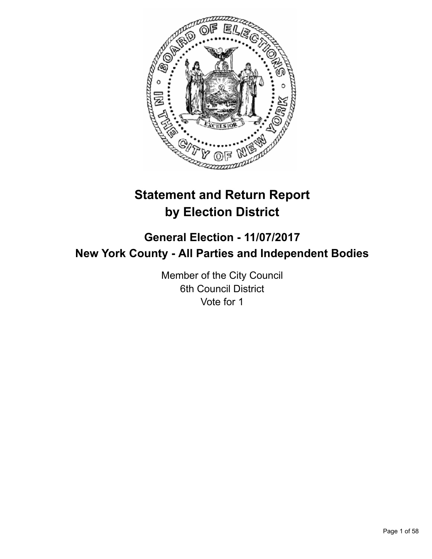

# **Statement and Return Report by Election District**

# **General Election - 11/07/2017 New York County - All Parties and Independent Bodies**

Member of the City Council 6th Council District Vote for 1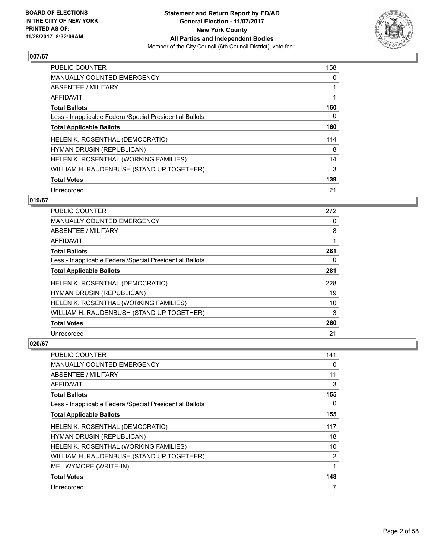

| <b>PUBLIC COUNTER</b>                                    | 158 |
|----------------------------------------------------------|-----|
| <b>MANUALLY COUNTED EMERGENCY</b>                        | 0   |
| ABSENTEE / MILITARY                                      | 1   |
| <b>AFFIDAVIT</b>                                         | 1   |
| <b>Total Ballots</b>                                     | 160 |
| Less - Inapplicable Federal/Special Presidential Ballots | 0   |
| <b>Total Applicable Ballots</b>                          | 160 |
| HELEN K. ROSENTHAL (DEMOCRATIC)                          | 114 |
| <b>HYMAN DRUSIN (REPUBLICAN)</b>                         | 8   |
| HELEN K. ROSENTHAL (WORKING FAMILIES)                    | 14  |
| WILLIAM H. RAUDENBUSH (STAND UP TOGETHER)                | 3   |
| <b>Total Votes</b>                                       | 139 |
| Unrecorded                                               | 21  |

## **019/67**

| <b>PUBLIC COUNTER</b>                                    | 272 |
|----------------------------------------------------------|-----|
| <b>MANUALLY COUNTED EMERGENCY</b>                        | 0   |
| ABSENTEE / MILITARY                                      | 8   |
| AFFIDAVIT                                                | 1   |
| <b>Total Ballots</b>                                     | 281 |
| Less - Inapplicable Federal/Special Presidential Ballots | 0   |
| <b>Total Applicable Ballots</b>                          | 281 |
| HELEN K. ROSENTHAL (DEMOCRATIC)                          | 228 |
| HYMAN DRUSIN (REPUBLICAN)                                | 19  |
| HELEN K. ROSENTHAL (WORKING FAMILIES)                    | 10  |
| WILLIAM H. RAUDENBUSH (STAND UP TOGETHER)                | 3   |
| <b>Total Votes</b>                                       | 260 |
| Unrecorded                                               | 21  |

| <b>PUBLIC COUNTER</b>                                    | 141            |
|----------------------------------------------------------|----------------|
| MANUALLY COUNTED EMERGENCY                               | 0              |
| ABSENTEE / MILITARY                                      | 11             |
| AFFIDAVIT                                                | 3              |
| <b>Total Ballots</b>                                     | 155            |
| Less - Inapplicable Federal/Special Presidential Ballots | 0              |
| <b>Total Applicable Ballots</b>                          | 155            |
| HELEN K. ROSENTHAL (DEMOCRATIC)                          | 117            |
| <b>HYMAN DRUSIN (REPUBLICAN)</b>                         | 18             |
| HELEN K. ROSENTHAL (WORKING FAMILIES)                    | 10             |
| WILLIAM H. RAUDENBUSH (STAND UP TOGETHER)                | $\overline{2}$ |
| MEL WYMORE (WRITE-IN)                                    | 1              |
| <b>Total Votes</b>                                       | 148            |
| Unrecorded                                               | 7              |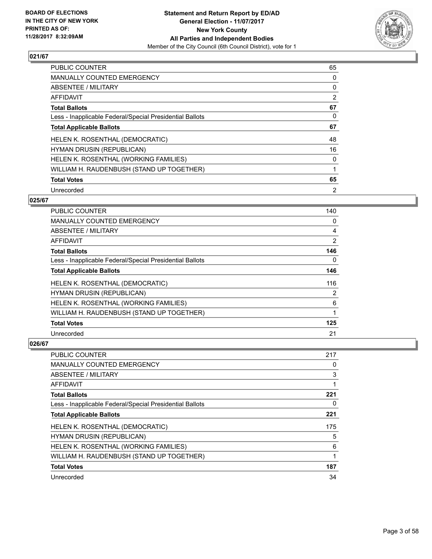

| <b>PUBLIC COUNTER</b>                                    | 65             |
|----------------------------------------------------------|----------------|
| <b>MANUALLY COUNTED EMERGENCY</b>                        | 0              |
| ABSENTEE / MILITARY                                      | 0              |
| <b>AFFIDAVIT</b>                                         | 2              |
| <b>Total Ballots</b>                                     | 67             |
| Less - Inapplicable Federal/Special Presidential Ballots | 0              |
| <b>Total Applicable Ballots</b>                          | 67             |
| HELEN K. ROSENTHAL (DEMOCRATIC)                          | 48             |
| <b>HYMAN DRUSIN (REPUBLICAN)</b>                         | 16             |
| HELEN K. ROSENTHAL (WORKING FAMILIES)                    | 0              |
| WILLIAM H. RAUDENBUSH (STAND UP TOGETHER)                | 1              |
| <b>Total Votes</b>                                       | 65             |
| Unrecorded                                               | $\overline{2}$ |

# **025/67**

| PUBLIC COUNTER                                           | 140 |
|----------------------------------------------------------|-----|
| MANUALLY COUNTED EMERGENCY                               | 0   |
| ABSENTEE / MILITARY                                      | 4   |
| AFFIDAVIT                                                | 2   |
| <b>Total Ballots</b>                                     | 146 |
| Less - Inapplicable Federal/Special Presidential Ballots | 0   |
| <b>Total Applicable Ballots</b>                          | 146 |
| HELEN K. ROSENTHAL (DEMOCRATIC)                          | 116 |
| HYMAN DRUSIN (REPUBLICAN)                                | 2   |
| HELEN K. ROSENTHAL (WORKING FAMILIES)                    | 6   |
| WILLIAM H. RAUDENBUSH (STAND UP TOGETHER)                | 1   |
| <b>Total Votes</b>                                       | 125 |
| Unrecorded                                               | 21  |

| <b>PUBLIC COUNTER</b>                                    | 217 |
|----------------------------------------------------------|-----|
| <b>MANUALLY COUNTED EMERGENCY</b>                        | 0   |
| ABSENTEE / MILITARY                                      | 3   |
| AFFIDAVIT                                                |     |
| <b>Total Ballots</b>                                     | 221 |
| Less - Inapplicable Federal/Special Presidential Ballots | 0   |
| <b>Total Applicable Ballots</b>                          | 221 |
| HELEN K. ROSENTHAL (DEMOCRATIC)                          | 175 |
| <b>HYMAN DRUSIN (REPUBLICAN)</b>                         | 5   |
| HELEN K. ROSENTHAL (WORKING FAMILIES)                    | 6   |
| WILLIAM H. RAUDENBUSH (STAND UP TOGETHER)                | 1   |
| <b>Total Votes</b>                                       | 187 |
| Unrecorded                                               | 34  |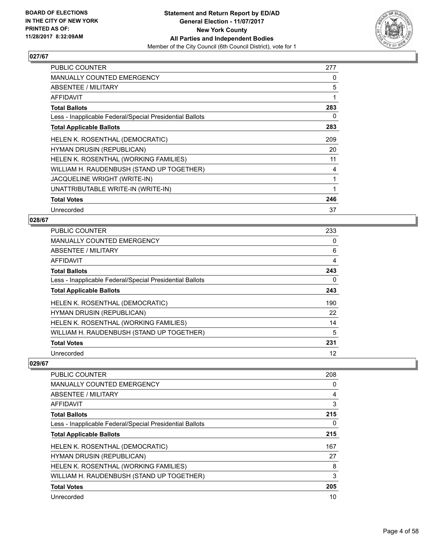

| <b>PUBLIC COUNTER</b>                                    | 277 |
|----------------------------------------------------------|-----|
| <b>MANUALLY COUNTED EMERGENCY</b>                        | 0   |
| ABSENTEE / MILITARY                                      | 5   |
| AFFIDAVIT                                                | 1   |
| <b>Total Ballots</b>                                     | 283 |
| Less - Inapplicable Federal/Special Presidential Ballots | 0   |
| <b>Total Applicable Ballots</b>                          | 283 |
| HELEN K. ROSENTHAL (DEMOCRATIC)                          | 209 |
| HYMAN DRUSIN (REPUBLICAN)                                | 20  |
| HELEN K. ROSENTHAL (WORKING FAMILIES)                    | 11  |
| WILLIAM H. RAUDENBUSH (STAND UP TOGETHER)                | 4   |
| JACQUELINE WRIGHT (WRITE-IN)                             | 1   |
| UNATTRIBUTABLE WRITE-IN (WRITE-IN)                       |     |
| <b>Total Votes</b>                                       | 246 |
| Unrecorded                                               | 37  |

#### **028/67**

| <b>PUBLIC COUNTER</b>                                    | 233 |
|----------------------------------------------------------|-----|
| MANUALLY COUNTED EMERGENCY                               | 0   |
| ABSENTEE / MILITARY                                      | 6   |
| AFFIDAVIT                                                | 4   |
| <b>Total Ballots</b>                                     | 243 |
| Less - Inapplicable Federal/Special Presidential Ballots | 0   |
| <b>Total Applicable Ballots</b>                          | 243 |
| HELEN K. ROSENTHAL (DEMOCRATIC)                          | 190 |
| <b>HYMAN DRUSIN (REPUBLICAN)</b>                         | 22  |
| HELEN K. ROSENTHAL (WORKING FAMILIES)                    | 14  |
| WILLIAM H. RAUDENBUSH (STAND UP TOGETHER)                | 5   |
| <b>Total Votes</b>                                       | 231 |
| Unrecorded                                               | 12  |

| <b>PUBLIC COUNTER</b>                                    | 208 |
|----------------------------------------------------------|-----|
| <b>MANUALLY COUNTED EMERGENCY</b>                        | 0   |
| ABSENTEE / MILITARY                                      | 4   |
| AFFIDAVIT                                                | 3   |
| <b>Total Ballots</b>                                     | 215 |
| Less - Inapplicable Federal/Special Presidential Ballots | 0   |
| <b>Total Applicable Ballots</b>                          | 215 |
| HELEN K. ROSENTHAL (DEMOCRATIC)                          | 167 |
| <b>HYMAN DRUSIN (REPUBLICAN)</b>                         | 27  |
| HELEN K. ROSENTHAL (WORKING FAMILIES)                    | 8   |
| WILLIAM H. RAUDENBUSH (STAND UP TOGETHER)                | 3   |
| <b>Total Votes</b>                                       | 205 |
| Unrecorded                                               | 10  |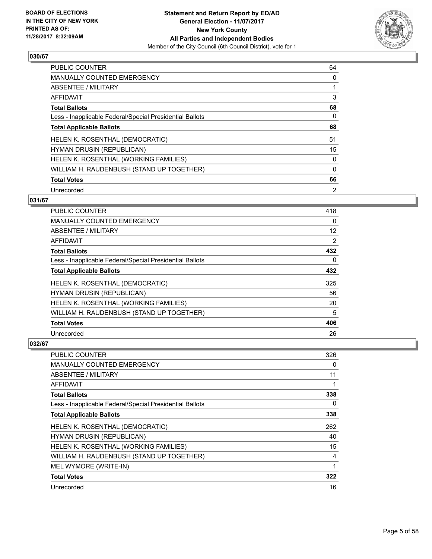

| <b>PUBLIC COUNTER</b>                                    | 64       |
|----------------------------------------------------------|----------|
| <b>MANUALLY COUNTED EMERGENCY</b>                        | 0        |
| ABSENTEE / MILITARY                                      |          |
| AFFIDAVIT                                                | 3        |
| <b>Total Ballots</b>                                     | 68       |
| Less - Inapplicable Federal/Special Presidential Ballots | 0        |
| <b>Total Applicable Ballots</b>                          | 68       |
| HELEN K. ROSENTHAL (DEMOCRATIC)                          | 51       |
| <b>HYMAN DRUSIN (REPUBLICAN)</b>                         | 15       |
| HELEN K. ROSENTHAL (WORKING FAMILIES)                    | 0        |
| WILLIAM H. RAUDENBUSH (STAND UP TOGETHER)                | $\Omega$ |
| <b>Total Votes</b>                                       | 66       |
| Unrecorded                                               | 2        |

## **031/67**

| PUBLIC COUNTER                                           | 418               |
|----------------------------------------------------------|-------------------|
| <b>MANUALLY COUNTED EMERGENCY</b>                        | 0                 |
| ABSENTEE / MILITARY                                      | $12 \overline{ }$ |
| AFFIDAVIT                                                | 2                 |
| <b>Total Ballots</b>                                     | 432               |
| Less - Inapplicable Federal/Special Presidential Ballots | 0                 |
| <b>Total Applicable Ballots</b>                          | 432               |
| HELEN K. ROSENTHAL (DEMOCRATIC)                          | 325               |
| HYMAN DRUSIN (REPUBLICAN)                                | 56                |
| HELEN K. ROSENTHAL (WORKING FAMILIES)                    | 20                |
| WILLIAM H. RAUDENBUSH (STAND UP TOGETHER)                | 5                 |
| <b>Total Votes</b>                                       | 406               |
| Unrecorded                                               | 26                |

| PUBLIC COUNTER                                           | 326 |
|----------------------------------------------------------|-----|
| MANUALLY COUNTED EMERGENCY                               | 0   |
| ABSENTEE / MILITARY                                      | 11  |
| AFFIDAVIT                                                |     |
| <b>Total Ballots</b>                                     | 338 |
| Less - Inapplicable Federal/Special Presidential Ballots | 0   |
| <b>Total Applicable Ballots</b>                          | 338 |
| HELEN K. ROSENTHAL (DEMOCRATIC)                          | 262 |
| <b>HYMAN DRUSIN (REPUBLICAN)</b>                         | 40  |
| HELEN K. ROSENTHAL (WORKING FAMILIES)                    | 15  |
| WILLIAM H. RAUDENBUSH (STAND UP TOGETHER)                | 4   |
| MEL WYMORE (WRITE-IN)                                    | 1   |
| <b>Total Votes</b>                                       | 322 |
| Unrecorded                                               | 16  |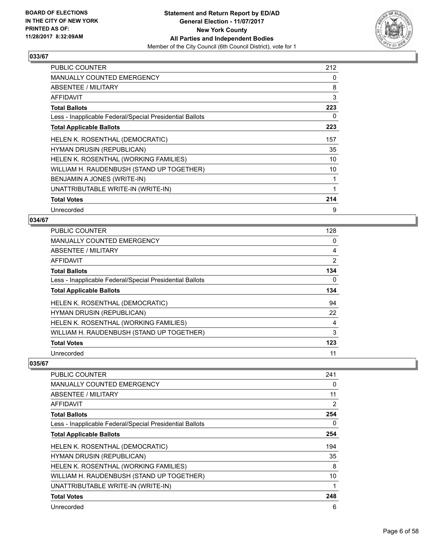

| <b>PUBLIC COUNTER</b>                                    | 212 |
|----------------------------------------------------------|-----|
| <b>MANUALLY COUNTED EMERGENCY</b>                        | 0   |
| ABSENTEE / MILITARY                                      | 8   |
| AFFIDAVIT                                                | 3   |
| <b>Total Ballots</b>                                     | 223 |
| Less - Inapplicable Federal/Special Presidential Ballots | 0   |
| <b>Total Applicable Ballots</b>                          | 223 |
| HELEN K. ROSENTHAL (DEMOCRATIC)                          | 157 |
| <b>HYMAN DRUSIN (REPUBLICAN)</b>                         | 35  |
| HELEN K. ROSENTHAL (WORKING FAMILIES)                    | 10  |
| WILLIAM H. RAUDENBUSH (STAND UP TOGETHER)                | 10  |
| BENJAMIN A JONES (WRITE-IN)                              | 1   |
| UNATTRIBUTABLE WRITE-IN (WRITE-IN)                       | 1   |
| <b>Total Votes</b>                                       | 214 |
| Unrecorded                                               | 9   |

#### **034/67**

| <b>PUBLIC COUNTER</b>                                    | 128 |
|----------------------------------------------------------|-----|
| MANUALLY COUNTED EMERGENCY                               | 0   |
| ABSENTEE / MILITARY                                      | 4   |
| AFFIDAVIT                                                | 2   |
| <b>Total Ballots</b>                                     | 134 |
| Less - Inapplicable Federal/Special Presidential Ballots | 0   |
| <b>Total Applicable Ballots</b>                          | 134 |
| HELEN K. ROSENTHAL (DEMOCRATIC)                          | 94  |
| <b>HYMAN DRUSIN (REPUBLICAN)</b>                         | 22  |
| HELEN K. ROSENTHAL (WORKING FAMILIES)                    | 4   |
| WILLIAM H. RAUDENBUSH (STAND UP TOGETHER)                | 3   |
| <b>Total Votes</b>                                       | 123 |
| Unrecorded                                               | 11  |

| <b>PUBLIC COUNTER</b>                                    | 241 |
|----------------------------------------------------------|-----|
| <b>MANUALLY COUNTED EMERGENCY</b>                        | 0   |
| ABSENTEE / MILITARY                                      | 11  |
| AFFIDAVIT                                                | 2   |
| <b>Total Ballots</b>                                     | 254 |
| Less - Inapplicable Federal/Special Presidential Ballots | 0   |
| <b>Total Applicable Ballots</b>                          | 254 |
| HELEN K. ROSENTHAL (DEMOCRATIC)                          | 194 |
| <b>HYMAN DRUSIN (REPUBLICAN)</b>                         | 35  |
| HELEN K. ROSENTHAL (WORKING FAMILIES)                    | 8   |
| WILLIAM H. RAUDENBUSH (STAND UP TOGETHER)                | 10  |
| UNATTRIBUTABLE WRITE-IN (WRITE-IN)                       |     |
| <b>Total Votes</b>                                       | 248 |
| Unrecorded                                               | 6   |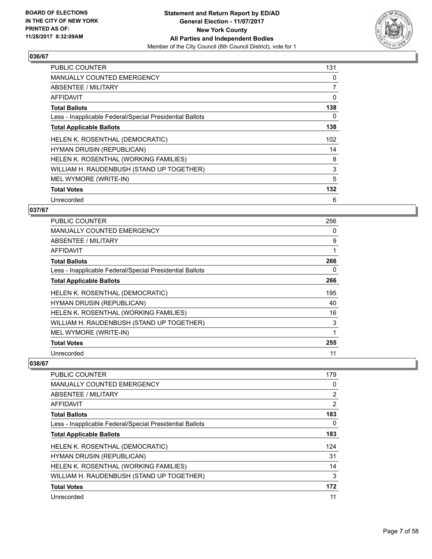

| <b>PUBLIC COUNTER</b>                                    | 131 |
|----------------------------------------------------------|-----|
| <b>MANUALLY COUNTED EMERGENCY</b>                        | 0   |
| ABSENTEE / MILITARY                                      | 7   |
| AFFIDAVIT                                                | 0   |
| <b>Total Ballots</b>                                     | 138 |
| Less - Inapplicable Federal/Special Presidential Ballots | 0   |
| <b>Total Applicable Ballots</b>                          | 138 |
| HELEN K. ROSENTHAL (DEMOCRATIC)                          | 102 |
| HYMAN DRUSIN (REPUBLICAN)                                | 14  |
| HELEN K. ROSENTHAL (WORKING FAMILIES)                    | 8   |
| WILLIAM H. RAUDENBUSH (STAND UP TOGETHER)                | 3   |
| MEL WYMORE (WRITE-IN)                                    | 5   |
| <b>Total Votes</b>                                       | 132 |
| Unrecorded                                               | 6   |

## **037/67**

| <b>PUBLIC COUNTER</b>                                    | 256 |
|----------------------------------------------------------|-----|
| <b>MANUALLY COUNTED EMERGENCY</b>                        | 0   |
| <b>ABSENTEE / MILITARY</b>                               | 9   |
| AFFIDAVIT                                                | 1   |
| <b>Total Ballots</b>                                     | 266 |
| Less - Inapplicable Federal/Special Presidential Ballots | 0   |
| <b>Total Applicable Ballots</b>                          | 266 |
| HELEN K. ROSENTHAL (DEMOCRATIC)                          | 195 |
| HYMAN DRUSIN (REPUBLICAN)                                | 40  |
| HELEN K. ROSENTHAL (WORKING FAMILIES)                    | 16  |
| WILLIAM H. RAUDENBUSH (STAND UP TOGETHER)                | 3   |
| MEL WYMORE (WRITE-IN)                                    | 1   |
| <b>Total Votes</b>                                       | 255 |
| Unrecorded                                               | 11  |

| <b>PUBLIC COUNTER</b>                                    | 179 |
|----------------------------------------------------------|-----|
| <b>MANUALLY COUNTED EMERGENCY</b>                        | 0   |
| ABSENTEE / MILITARY                                      | 2   |
| AFFIDAVIT                                                | 2   |
| <b>Total Ballots</b>                                     | 183 |
| Less - Inapplicable Federal/Special Presidential Ballots | 0   |
| <b>Total Applicable Ballots</b>                          | 183 |
| HELEN K. ROSENTHAL (DEMOCRATIC)                          | 124 |
| <b>HYMAN DRUSIN (REPUBLICAN)</b>                         | 31  |
| HELEN K. ROSENTHAL (WORKING FAMILIES)                    | 14  |
| WILLIAM H. RAUDENBUSH (STAND UP TOGETHER)                | 3   |
| <b>Total Votes</b>                                       | 172 |
| Unrecorded                                               | 11  |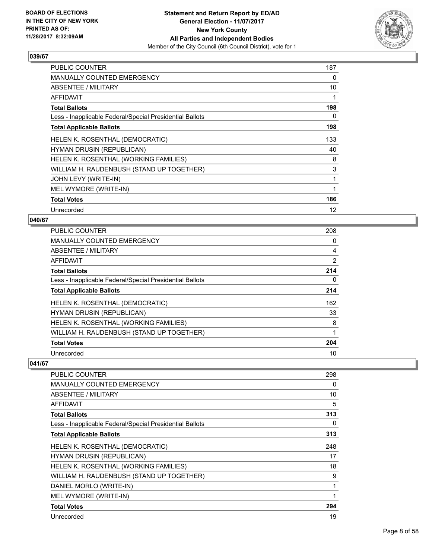

| <b>PUBLIC COUNTER</b>                                    | 187 |
|----------------------------------------------------------|-----|
| <b>MANUALLY COUNTED EMERGENCY</b>                        | 0   |
| ABSENTEE / MILITARY                                      | 10  |
| <b>AFFIDAVIT</b>                                         | 1   |
| <b>Total Ballots</b>                                     | 198 |
| Less - Inapplicable Federal/Special Presidential Ballots | 0   |
| <b>Total Applicable Ballots</b>                          | 198 |
| HELEN K. ROSENTHAL (DEMOCRATIC)                          | 133 |
| <b>HYMAN DRUSIN (REPUBLICAN)</b>                         | 40  |
| HELEN K. ROSENTHAL (WORKING FAMILIES)                    | 8   |
| WILLIAM H. RAUDENBUSH (STAND UP TOGETHER)                | 3   |
| JOHN LEVY (WRITE-IN)                                     | 1   |
| MEL WYMORE (WRITE-IN)                                    | 1   |
| <b>Total Votes</b>                                       | 186 |
| Unrecorded                                               | 12  |

#### **040/67**

| <b>PUBLIC COUNTER</b>                                    | 208 |
|----------------------------------------------------------|-----|
| <b>MANUALLY COUNTED EMERGENCY</b>                        | 0   |
| ABSENTEE / MILITARY                                      | 4   |
| <b>AFFIDAVIT</b>                                         | 2   |
| <b>Total Ballots</b>                                     | 214 |
| Less - Inapplicable Federal/Special Presidential Ballots | 0   |
| <b>Total Applicable Ballots</b>                          | 214 |
| HELEN K. ROSENTHAL (DEMOCRATIC)                          | 162 |
| <b>HYMAN DRUSIN (REPUBLICAN)</b>                         | 33  |
| HELEN K. ROSENTHAL (WORKING FAMILIES)                    | 8   |
| WILLIAM H. RAUDENBUSH (STAND UP TOGETHER)                | 1   |
| <b>Total Votes</b>                                       | 204 |
| Unrecorded                                               | 10  |

| PUBLIC COUNTER                                           | 298 |
|----------------------------------------------------------|-----|
| <b>MANUALLY COUNTED EMERGENCY</b>                        | 0   |
| <b>ABSENTEE / MILITARY</b>                               | 10  |
| AFFIDAVIT                                                | 5   |
| <b>Total Ballots</b>                                     | 313 |
| Less - Inapplicable Federal/Special Presidential Ballots | 0   |
| <b>Total Applicable Ballots</b>                          | 313 |
| HELEN K. ROSENTHAL (DEMOCRATIC)                          | 248 |
| HYMAN DRUSIN (REPUBLICAN)                                | 17  |
| HELEN K. ROSENTHAL (WORKING FAMILIES)                    | 18  |
| WILLIAM H. RAUDENBUSH (STAND UP TOGETHER)                | 9   |
| DANIEL MORLO (WRITE-IN)                                  | 1   |
| MEL WYMORE (WRITE-IN)                                    |     |
| <b>Total Votes</b>                                       | 294 |
| Unrecorded                                               | 19  |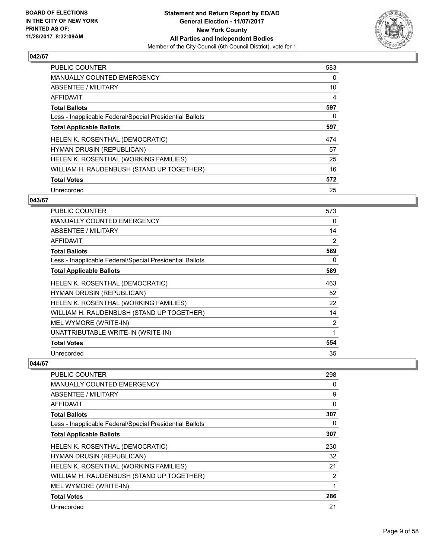

| <b>PUBLIC COUNTER</b>                                    | 583 |
|----------------------------------------------------------|-----|
| <b>MANUALLY COUNTED EMERGENCY</b>                        | 0   |
| ABSENTEE / MILITARY                                      | 10  |
| AFFIDAVIT                                                | 4   |
| <b>Total Ballots</b>                                     | 597 |
| Less - Inapplicable Federal/Special Presidential Ballots | 0   |
| <b>Total Applicable Ballots</b>                          | 597 |
| HELEN K. ROSENTHAL (DEMOCRATIC)                          | 474 |
| <b>HYMAN DRUSIN (REPUBLICAN)</b>                         | 57  |
| HELEN K. ROSENTHAL (WORKING FAMILIES)                    | 25  |
| WILLIAM H. RAUDENBUSH (STAND UP TOGETHER)                | 16  |
| <b>Total Votes</b>                                       | 572 |
| Unrecorded                                               | 25  |

## **043/67**

| PUBLIC COUNTER                                           | 573            |
|----------------------------------------------------------|----------------|
| <b>MANUALLY COUNTED EMERGENCY</b>                        | 0              |
| <b>ABSENTEE / MILITARY</b>                               | 14             |
| AFFIDAVIT                                                | $\overline{2}$ |
| <b>Total Ballots</b>                                     | 589            |
| Less - Inapplicable Federal/Special Presidential Ballots | 0              |
| <b>Total Applicable Ballots</b>                          | 589            |
| HELEN K. ROSENTHAL (DEMOCRATIC)                          | 463            |
| <b>HYMAN DRUSIN (REPUBLICAN)</b>                         | 52             |
| HELEN K. ROSENTHAL (WORKING FAMILIES)                    | 22             |
| WILLIAM H. RAUDENBUSH (STAND UP TOGETHER)                | 14             |
| MEL WYMORE (WRITE-IN)                                    | 2              |
| UNATTRIBUTABLE WRITE-IN (WRITE-IN)                       | 1              |
| <b>Total Votes</b>                                       | 554            |
| Unrecorded                                               | 35             |

| <b>PUBLIC COUNTER</b>                                    | 298 |
|----------------------------------------------------------|-----|
| MANUALLY COUNTED EMERGENCY                               | 0   |
| ABSENTEE / MILITARY                                      | 9   |
| AFFIDAVIT                                                | 0   |
| <b>Total Ballots</b>                                     | 307 |
| Less - Inapplicable Federal/Special Presidential Ballots | 0   |
| <b>Total Applicable Ballots</b>                          | 307 |
| HELEN K. ROSENTHAL (DEMOCRATIC)                          | 230 |
| HYMAN DRUSIN (REPUBLICAN)                                | 32  |
| HELEN K. ROSENTHAL (WORKING FAMILIES)                    | 21  |
| WILLIAM H. RAUDENBUSH (STAND UP TOGETHER)                | 2   |
| MEL WYMORE (WRITE-IN)                                    |     |
| <b>Total Votes</b>                                       | 286 |
| Unrecorded                                               | 21  |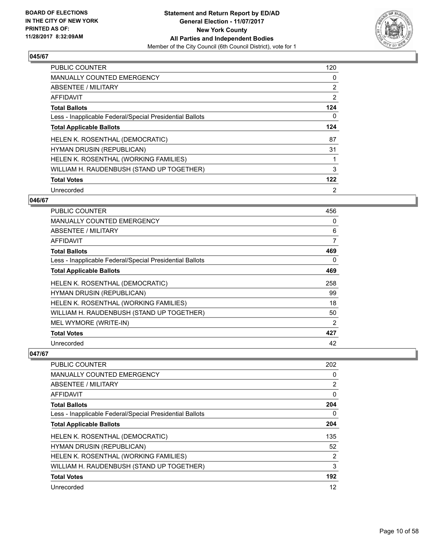

| <b>PUBLIC COUNTER</b>                                    | 120            |
|----------------------------------------------------------|----------------|
| <b>MANUALLY COUNTED EMERGENCY</b>                        | 0              |
| ABSENTEE / MILITARY                                      | 2              |
| AFFIDAVIT                                                | 2              |
| <b>Total Ballots</b>                                     | 124            |
| Less - Inapplicable Federal/Special Presidential Ballots | 0              |
| <b>Total Applicable Ballots</b>                          | 124            |
| <b>HELEN K. ROSENTHAL (DEMOCRATIC)</b>                   | 87             |
| <b>HYMAN DRUSIN (REPUBLICAN)</b>                         | 31             |
| HELEN K. ROSENTHAL (WORKING FAMILIES)                    |                |
| WILLIAM H. RAUDENBUSH (STAND UP TOGETHER)                | 3              |
| <b>Total Votes</b>                                       | 122            |
| Unrecorded                                               | $\overline{2}$ |

## **046/67**

| <b>PUBLIC COUNTER</b>                                    | 456            |
|----------------------------------------------------------|----------------|
| <b>MANUALLY COUNTED EMERGENCY</b>                        | 0              |
| ABSENTEE / MILITARY                                      | 6              |
| AFFIDAVIT                                                | 7              |
| <b>Total Ballots</b>                                     | 469            |
| Less - Inapplicable Federal/Special Presidential Ballots | 0              |
| <b>Total Applicable Ballots</b>                          | 469            |
| HELEN K. ROSENTHAL (DEMOCRATIC)                          | 258            |
| HYMAN DRUSIN (REPUBLICAN)                                | 99             |
| HELEN K. ROSENTHAL (WORKING FAMILIES)                    | 18             |
| WILLIAM H. RAUDENBUSH (STAND UP TOGETHER)                | 50             |
| MEL WYMORE (WRITE-IN)                                    | $\overline{2}$ |
| <b>Total Votes</b>                                       | 427            |
| Unrecorded                                               | 42             |

| <b>PUBLIC COUNTER</b>                                    | 202            |
|----------------------------------------------------------|----------------|
| <b>MANUALLY COUNTED EMERGENCY</b>                        | 0              |
| ABSENTEE / MILITARY                                      | $\overline{2}$ |
| AFFIDAVIT                                                | 0              |
| <b>Total Ballots</b>                                     | 204            |
| Less - Inapplicable Federal/Special Presidential Ballots | 0              |
| <b>Total Applicable Ballots</b>                          | 204            |
| HELEN K. ROSENTHAL (DEMOCRATIC)                          | 135            |
| <b>HYMAN DRUSIN (REPUBLICAN)</b>                         | 52             |
| HELEN K. ROSENTHAL (WORKING FAMILIES)                    | $\overline{2}$ |
| WILLIAM H. RAUDENBUSH (STAND UP TOGETHER)                | 3              |
| <b>Total Votes</b>                                       | 192            |
| Unrecorded                                               | 12             |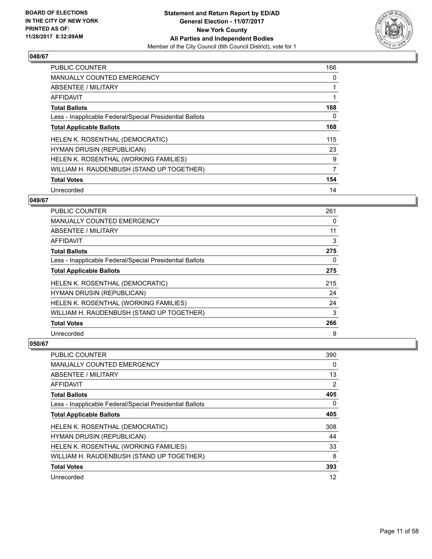

| <b>PUBLIC COUNTER</b>                                    | 166 |
|----------------------------------------------------------|-----|
| <b>MANUALLY COUNTED EMERGENCY</b>                        | 0   |
| ABSENTEE / MILITARY                                      |     |
| <b>AFFIDAVIT</b>                                         |     |
| <b>Total Ballots</b>                                     | 168 |
| Less - Inapplicable Federal/Special Presidential Ballots | 0   |
| <b>Total Applicable Ballots</b>                          | 168 |
| HELEN K. ROSENTHAL (DEMOCRATIC)                          | 115 |
| <b>HYMAN DRUSIN (REPUBLICAN)</b>                         | 23  |
| HELEN K. ROSENTHAL (WORKING FAMILIES)                    | 9   |
| WILLIAM H. RAUDENBUSH (STAND UP TOGETHER)                | 7   |
| <b>Total Votes</b>                                       | 154 |
| Unrecorded                                               | 14  |

## **049/67**

| PUBLIC COUNTER                                           | 261 |
|----------------------------------------------------------|-----|
| <b>MANUALLY COUNTED EMERGENCY</b>                        | 0   |
| ABSENTEE / MILITARY                                      | 11  |
| AFFIDAVIT                                                | 3   |
| <b>Total Ballots</b>                                     | 275 |
| Less - Inapplicable Federal/Special Presidential Ballots | 0   |
| <b>Total Applicable Ballots</b>                          | 275 |
| HELEN K. ROSENTHAL (DEMOCRATIC)                          | 215 |
| <b>HYMAN DRUSIN (REPUBLICAN)</b>                         | 24  |
| HELEN K. ROSENTHAL (WORKING FAMILIES)                    | 24  |
| WILLIAM H. RAUDENBUSH (STAND UP TOGETHER)                | 3   |
| <b>Total Votes</b>                                       | 266 |
| Unrecorded                                               | 9   |

| PUBLIC COUNTER                                           | 390            |
|----------------------------------------------------------|----------------|
| <b>MANUALLY COUNTED EMERGENCY</b>                        | 0              |
| ABSENTEE / MILITARY                                      | 13             |
| AFFIDAVIT                                                | $\overline{2}$ |
| <b>Total Ballots</b>                                     | 405            |
| Less - Inapplicable Federal/Special Presidential Ballots | 0              |
| <b>Total Applicable Ballots</b>                          | 405            |
| HELEN K. ROSENTHAL (DEMOCRATIC)                          | 308            |
| <b>HYMAN DRUSIN (REPUBLICAN)</b>                         | 44             |
| HELEN K. ROSENTHAL (WORKING FAMILIES)                    | 33             |
| WILLIAM H. RAUDENBUSH (STAND UP TOGETHER)                | 8              |
| <b>Total Votes</b>                                       | 393            |
| Unrecorded                                               | 12             |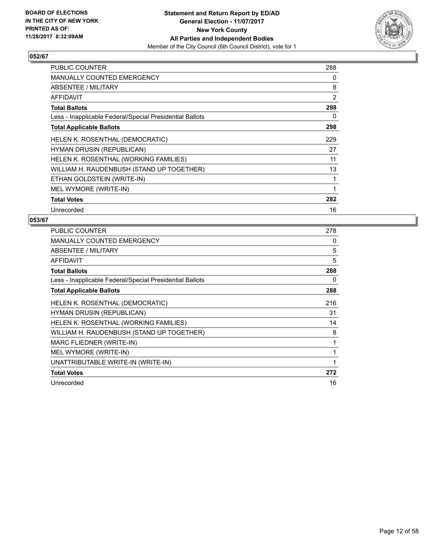

| <b>PUBLIC COUNTER</b>                                    | 288 |
|----------------------------------------------------------|-----|
| <b>MANUALLY COUNTED EMERGENCY</b>                        | 0   |
| ABSENTEE / MILITARY                                      | 8   |
| AFFIDAVIT                                                | 2   |
| <b>Total Ballots</b>                                     | 298 |
| Less - Inapplicable Federal/Special Presidential Ballots | 0   |
| <b>Total Applicable Ballots</b>                          | 298 |
| HELEN K. ROSENTHAL (DEMOCRATIC)                          | 229 |
| <b>HYMAN DRUSIN (REPUBLICAN)</b>                         | 27  |
| HELEN K. ROSENTHAL (WORKING FAMILIES)                    | 11  |
| WILLIAM H. RAUDENBUSH (STAND UP TOGETHER)                | 13  |
| ETHAN GOLDSTEIN (WRITE-IN)                               | 1   |
| MEL WYMORE (WRITE-IN)                                    | 1   |
| <b>Total Votes</b>                                       | 282 |
| Unrecorded                                               | 16  |

| PUBLIC COUNTER                                           | 278 |
|----------------------------------------------------------|-----|
| <b>MANUALLY COUNTED EMERGENCY</b>                        | 0   |
| ABSENTEE / MILITARY                                      | 5   |
| AFFIDAVIT                                                | 5   |
| <b>Total Ballots</b>                                     | 288 |
| Less - Inapplicable Federal/Special Presidential Ballots | 0   |
| <b>Total Applicable Ballots</b>                          | 288 |
| HELEN K. ROSENTHAL (DEMOCRATIC)                          | 216 |
| HYMAN DRUSIN (REPUBLICAN)                                | 31  |
| HELEN K. ROSENTHAL (WORKING FAMILIES)                    | 14  |
| WILLIAM H. RAUDENBUSH (STAND UP TOGETHER)                | 8   |
| MARC FLIEDNER (WRITE-IN)                                 | 1   |
| MEL WYMORE (WRITE-IN)                                    | 1   |
| UNATTRIBUTABLE WRITE-IN (WRITE-IN)                       | 1   |
| <b>Total Votes</b>                                       | 272 |
| Unrecorded                                               | 16  |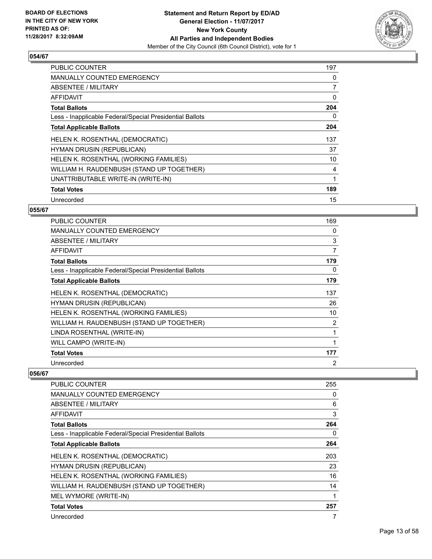

| <b>PUBLIC COUNTER</b>                                    | 197            |
|----------------------------------------------------------|----------------|
| <b>MANUALLY COUNTED EMERGENCY</b>                        | 0              |
| ABSENTEE / MILITARY                                      | $\overline{7}$ |
| AFFIDAVIT                                                | 0              |
| <b>Total Ballots</b>                                     | 204            |
| Less - Inapplicable Federal/Special Presidential Ballots | 0              |
| <b>Total Applicable Ballots</b>                          | 204            |
| HELEN K. ROSENTHAL (DEMOCRATIC)                          | 137            |
| <b>HYMAN DRUSIN (REPUBLICAN)</b>                         | 37             |
| HELEN K. ROSENTHAL (WORKING FAMILIES)                    | 10             |
| WILLIAM H. RAUDENBUSH (STAND UP TOGETHER)                | 4              |
| UNATTRIBUTABLE WRITE-IN (WRITE-IN)                       |                |
| <b>Total Votes</b>                                       | 189            |
| Unrecorded                                               | 15             |

## **055/67**

| <b>PUBLIC COUNTER</b>                                    | 169 |
|----------------------------------------------------------|-----|
| <b>MANUALLY COUNTED EMERGENCY</b>                        | 0   |
| ABSENTEE / MILITARY                                      | 3   |
| AFFIDAVIT                                                | 7   |
| <b>Total Ballots</b>                                     | 179 |
| Less - Inapplicable Federal/Special Presidential Ballots | 0   |
| <b>Total Applicable Ballots</b>                          | 179 |
| HELEN K. ROSENTHAL (DEMOCRATIC)                          | 137 |
| <b>HYMAN DRUSIN (REPUBLICAN)</b>                         | 26  |
| HELEN K. ROSENTHAL (WORKING FAMILIES)                    | 10  |
| WILLIAM H. RAUDENBUSH (STAND UP TOGETHER)                | 2   |
| LINDA ROSENTHAL (WRITE-IN)                               | 1   |
| WILL CAMPO (WRITE-IN)                                    |     |
| <b>Total Votes</b>                                       | 177 |
| Unrecorded                                               | 2   |

| <b>PUBLIC COUNTER</b>                                    | 255 |
|----------------------------------------------------------|-----|
| <b>MANUALLY COUNTED EMERGENCY</b>                        | 0   |
| ABSENTEE / MILITARY                                      | 6   |
| <b>AFFIDAVIT</b>                                         | 3   |
| <b>Total Ballots</b>                                     | 264 |
| Less - Inapplicable Federal/Special Presidential Ballots | 0   |
| <b>Total Applicable Ballots</b>                          | 264 |
| HELEN K. ROSENTHAL (DEMOCRATIC)                          | 203 |
| <b>HYMAN DRUSIN (REPUBLICAN)</b>                         | 23  |
| HELEN K. ROSENTHAL (WORKING FAMILIES)                    | 16  |
| WILLIAM H. RAUDENBUSH (STAND UP TOGETHER)                | 14  |
| MEL WYMORE (WRITE-IN)                                    | 1   |
| <b>Total Votes</b>                                       | 257 |
| Unrecorded                                               | 7   |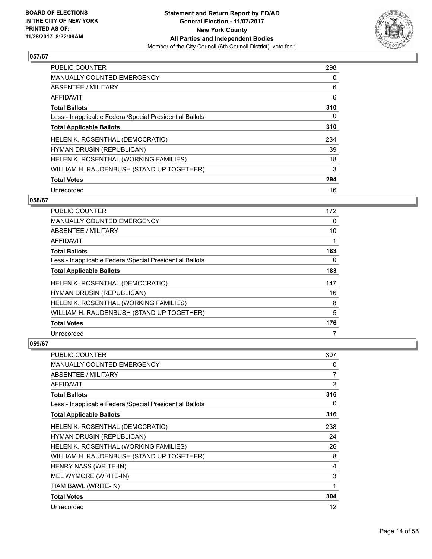

| <b>PUBLIC COUNTER</b>                                    | 298 |
|----------------------------------------------------------|-----|
| <b>MANUALLY COUNTED EMERGENCY</b>                        | 0   |
| ABSENTEE / MILITARY                                      | 6   |
| <b>AFFIDAVIT</b>                                         | 6   |
| <b>Total Ballots</b>                                     | 310 |
| Less - Inapplicable Federal/Special Presidential Ballots | 0   |
| <b>Total Applicable Ballots</b>                          | 310 |
| HELEN K. ROSENTHAL (DEMOCRATIC)                          | 234 |
| <b>HYMAN DRUSIN (REPUBLICAN)</b>                         | 39  |
| HELEN K. ROSENTHAL (WORKING FAMILIES)                    | 18  |
| WILLIAM H. RAUDENBUSH (STAND UP TOGETHER)                | 3   |
| <b>Total Votes</b>                                       | 294 |
| Unrecorded                                               | 16  |

# **058/67**

| <b>PUBLIC COUNTER</b>                                    | 172 |
|----------------------------------------------------------|-----|
| MANUALLY COUNTED EMERGENCY                               | 0   |
| ABSENTEE / MILITARY                                      | 10  |
| AFFIDAVIT                                                |     |
| <b>Total Ballots</b>                                     | 183 |
| Less - Inapplicable Federal/Special Presidential Ballots | 0   |
| <b>Total Applicable Ballots</b>                          | 183 |
| HELEN K. ROSENTHAL (DEMOCRATIC)                          | 147 |
| <b>HYMAN DRUSIN (REPUBLICAN)</b>                         | 16  |
| HELEN K. ROSENTHAL (WORKING FAMILIES)                    | 8   |
| WILLIAM H. RAUDENBUSH (STAND UP TOGETHER)                | 5   |
| <b>Total Votes</b>                                       | 176 |
| Unrecorded                                               | 7   |

| <b>PUBLIC COUNTER</b>                                    | 307            |
|----------------------------------------------------------|----------------|
| <b>MANUALLY COUNTED EMERGENCY</b>                        | 0              |
| <b>ABSENTEE / MILITARY</b>                               | 7              |
| <b>AFFIDAVIT</b>                                         | $\overline{2}$ |
| <b>Total Ballots</b>                                     | 316            |
| Less - Inapplicable Federal/Special Presidential Ballots | 0              |
| <b>Total Applicable Ballots</b>                          | 316            |
| HELEN K. ROSENTHAL (DEMOCRATIC)                          | 238            |
| <b>HYMAN DRUSIN (REPUBLICAN)</b>                         | 24             |
| HELEN K. ROSENTHAL (WORKING FAMILIES)                    | 26             |
| WILLIAM H. RAUDENBUSH (STAND UP TOGETHER)                | 8              |
| HENRY NASS (WRITE-IN)                                    | 4              |
| MEL WYMORE (WRITE-IN)                                    | 3              |
| TIAM BAWL (WRITE-IN)                                     | 1              |
| <b>Total Votes</b>                                       | 304            |
| Unrecorded                                               | 12             |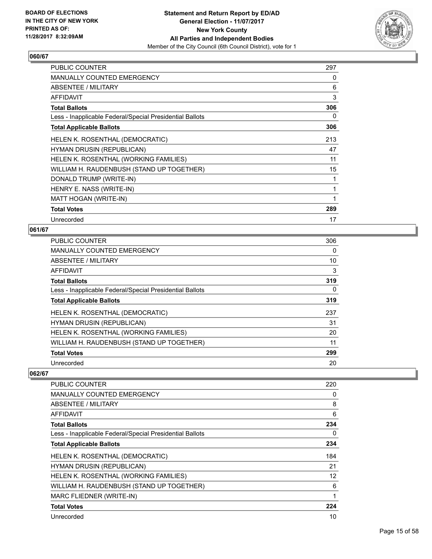

| <b>PUBLIC COUNTER</b>                                    | 297 |
|----------------------------------------------------------|-----|
| <b>MANUALLY COUNTED EMERGENCY</b>                        | 0   |
| ABSENTEE / MILITARY                                      | 6   |
| <b>AFFIDAVIT</b>                                         | 3   |
| <b>Total Ballots</b>                                     | 306 |
| Less - Inapplicable Federal/Special Presidential Ballots | 0   |
| <b>Total Applicable Ballots</b>                          | 306 |
| HELEN K. ROSENTHAL (DEMOCRATIC)                          | 213 |
| <b>HYMAN DRUSIN (REPUBLICAN)</b>                         | 47  |
| HELEN K. ROSENTHAL (WORKING FAMILIES)                    | 11  |
| WILLIAM H. RAUDENBUSH (STAND UP TOGETHER)                | 15  |
| DONALD TRUMP (WRITE-IN)                                  | 1   |
| HENRY E. NASS (WRITE-IN)                                 | 1   |
| MATT HOGAN (WRITE-IN)                                    | 1   |
| <b>Total Votes</b>                                       | 289 |
| Unrecorded                                               | 17  |

## **061/67**

| <b>PUBLIC COUNTER</b>                                    | 306 |
|----------------------------------------------------------|-----|
| <b>MANUALLY COUNTED EMERGENCY</b>                        | 0   |
| ABSENTEE / MILITARY                                      | 10  |
| AFFIDAVIT                                                | 3   |
| <b>Total Ballots</b>                                     | 319 |
| Less - Inapplicable Federal/Special Presidential Ballots | 0   |
| <b>Total Applicable Ballots</b>                          | 319 |
| HELEN K. ROSENTHAL (DEMOCRATIC)                          | 237 |
| HYMAN DRUSIN (REPUBLICAN)                                | 31  |
| HELEN K. ROSENTHAL (WORKING FAMILIES)                    | 20  |
| WILLIAM H. RAUDENBUSH (STAND UP TOGETHER)                | 11  |
| <b>Total Votes</b>                                       | 299 |
| Unrecorded                                               | 20  |

| PUBLIC COUNTER                                           | 220               |
|----------------------------------------------------------|-------------------|
| MANUALLY COUNTED EMERGENCY                               | 0                 |
| ABSENTEE / MILITARY                                      | 8                 |
| <b>AFFIDAVIT</b>                                         | 6                 |
| <b>Total Ballots</b>                                     | 234               |
| Less - Inapplicable Federal/Special Presidential Ballots | 0                 |
| <b>Total Applicable Ballots</b>                          | 234               |
| HELEN K. ROSENTHAL (DEMOCRATIC)                          | 184               |
| HYMAN DRUSIN (REPUBLICAN)                                | 21                |
| HELEN K. ROSENTHAL (WORKING FAMILIES)                    | $12 \overline{ }$ |
| WILLIAM H. RAUDENBUSH (STAND UP TOGETHER)                | 6                 |
| MARC FLIEDNER (WRITE-IN)                                 | 1                 |
| <b>Total Votes</b>                                       | 224               |
| Unrecorded                                               | 10                |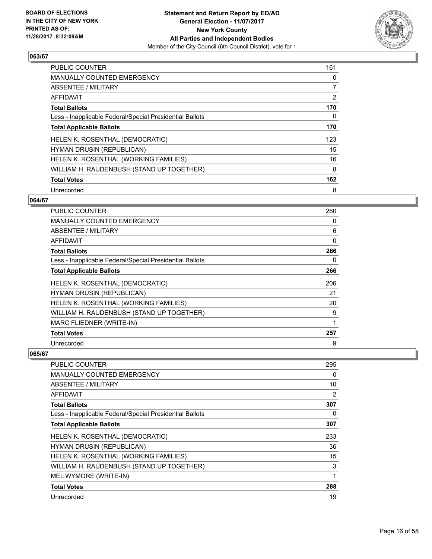

| <b>PUBLIC COUNTER</b>                                    | 161 |
|----------------------------------------------------------|-----|
| <b>MANUALLY COUNTED EMERGENCY</b>                        | 0   |
| ABSENTEE / MILITARY                                      | 7   |
| AFFIDAVIT                                                | 2   |
| <b>Total Ballots</b>                                     | 170 |
| Less - Inapplicable Federal/Special Presidential Ballots | 0   |
| <b>Total Applicable Ballots</b>                          | 170 |
| HELEN K. ROSENTHAL (DEMOCRATIC)                          | 123 |
| <b>HYMAN DRUSIN (REPUBLICAN)</b>                         | 15  |
| HELEN K. ROSENTHAL (WORKING FAMILIES)                    | 16  |
| WILLIAM H. RAUDENBUSH (STAND UP TOGETHER)                | 8   |
| <b>Total Votes</b>                                       | 162 |
| Unrecorded                                               | 8   |

## **064/67**

| <b>PUBLIC COUNTER</b>                                    | 260      |
|----------------------------------------------------------|----------|
| <b>MANUALLY COUNTED EMERGENCY</b>                        | 0        |
| ABSENTEE / MILITARY                                      | 6        |
| AFFIDAVIT                                                | $\Omega$ |
| <b>Total Ballots</b>                                     | 266      |
| Less - Inapplicable Federal/Special Presidential Ballots | 0        |
| <b>Total Applicable Ballots</b>                          | 266      |
| HELEN K. ROSENTHAL (DEMOCRATIC)                          | 206      |
| <b>HYMAN DRUSIN (REPUBLICAN)</b>                         | 21       |
| HELEN K. ROSENTHAL (WORKING FAMILIES)                    | 20       |
| WILLIAM H. RAUDENBUSH (STAND UP TOGETHER)                | 9        |
| MARC FLIEDNER (WRITE-IN)                                 | 1        |
| <b>Total Votes</b>                                       | 257      |
| Unrecorded                                               | 9        |

| <b>PUBLIC COUNTER</b>                                    | 295 |
|----------------------------------------------------------|-----|
| <b>MANUALLY COUNTED EMERGENCY</b>                        | 0   |
| ABSENTEE / MILITARY                                      | 10  |
| AFFIDAVIT                                                | 2   |
| <b>Total Ballots</b>                                     | 307 |
| Less - Inapplicable Federal/Special Presidential Ballots | 0   |
| <b>Total Applicable Ballots</b>                          | 307 |
| HELEN K. ROSENTHAL (DEMOCRATIC)                          | 233 |
| HYMAN DRUSIN (REPUBLICAN)                                | 36  |
| HELEN K. ROSENTHAL (WORKING FAMILIES)                    | 15  |
| WILLIAM H. RAUDENBUSH (STAND UP TOGETHER)                | 3   |
| MEL WYMORE (WRITE-IN)                                    |     |
| <b>Total Votes</b>                                       | 288 |
| Unrecorded                                               | 19  |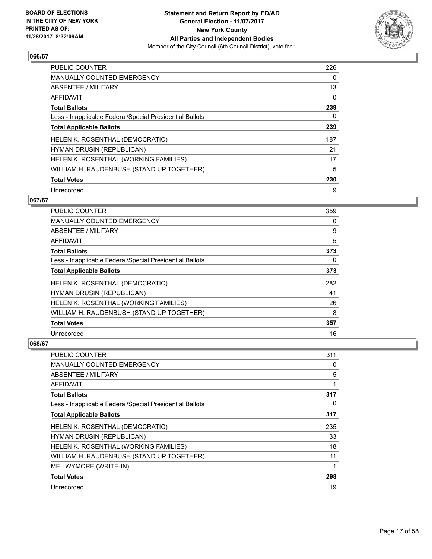

| <b>PUBLIC COUNTER</b>                                    | 226 |
|----------------------------------------------------------|-----|
| <b>MANUALLY COUNTED EMERGENCY</b>                        | 0   |
| ABSENTEE / MILITARY                                      | 13  |
| <b>AFFIDAVIT</b>                                         | 0   |
| <b>Total Ballots</b>                                     | 239 |
| Less - Inapplicable Federal/Special Presidential Ballots | 0   |
| <b>Total Applicable Ballots</b>                          | 239 |
| HELEN K. ROSENTHAL (DEMOCRATIC)                          | 187 |
| <b>HYMAN DRUSIN (REPUBLICAN)</b>                         | 21  |
| HELEN K. ROSENTHAL (WORKING FAMILIES)                    | 17  |
| WILLIAM H. RAUDENBUSH (STAND UP TOGETHER)                | 5   |
| <b>Total Votes</b>                                       | 230 |
| Unrecorded                                               | 9   |

## **067/67**

| PUBLIC COUNTER                                           | 359 |
|----------------------------------------------------------|-----|
| <b>MANUALLY COUNTED EMERGENCY</b>                        | 0   |
| ABSENTEE / MILITARY                                      | 9   |
| AFFIDAVIT                                                | 5   |
| <b>Total Ballots</b>                                     | 373 |
| Less - Inapplicable Federal/Special Presidential Ballots | 0   |
| <b>Total Applicable Ballots</b>                          | 373 |
| HELEN K. ROSENTHAL (DEMOCRATIC)                          | 282 |
| HYMAN DRUSIN (REPUBLICAN)                                | 41  |
| HELEN K. ROSENTHAL (WORKING FAMILIES)                    | 26  |
| WILLIAM H. RAUDENBUSH (STAND UP TOGETHER)                | 8   |
| <b>Total Votes</b>                                       | 357 |
| Unrecorded                                               | 16  |

| <b>PUBLIC COUNTER</b>                                    | 311 |
|----------------------------------------------------------|-----|
| <b>MANUALLY COUNTED EMERGENCY</b>                        | 0   |
| <b>ABSENTEE / MILITARY</b>                               | 5   |
| AFFIDAVIT                                                | 1   |
| <b>Total Ballots</b>                                     | 317 |
| Less - Inapplicable Federal/Special Presidential Ballots | 0   |
| <b>Total Applicable Ballots</b>                          | 317 |
| HELEN K. ROSENTHAL (DEMOCRATIC)                          | 235 |
| HYMAN DRUSIN (REPUBLICAN)                                | 33  |
| HELEN K. ROSENTHAL (WORKING FAMILIES)                    | 18  |
| WILLIAM H. RAUDENBUSH (STAND UP TOGETHER)                | 11  |
| MEL WYMORE (WRITE-IN)                                    | 1   |
| <b>Total Votes</b>                                       | 298 |
| Unrecorded                                               | 19  |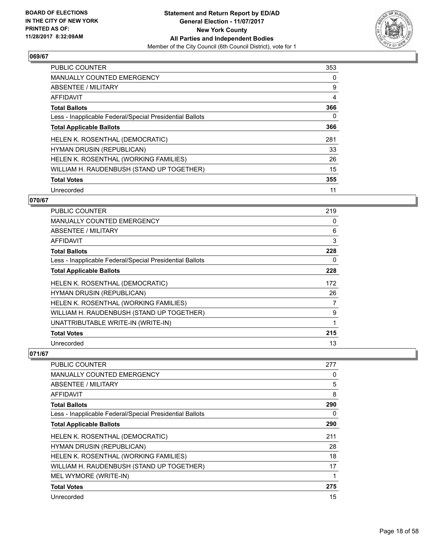

| <b>PUBLIC COUNTER</b>                                    | 353 |
|----------------------------------------------------------|-----|
| <b>MANUALLY COUNTED EMERGENCY</b>                        | 0   |
| ABSENTEE / MILITARY                                      | 9   |
| AFFIDAVIT                                                | 4   |
| <b>Total Ballots</b>                                     | 366 |
| Less - Inapplicable Federal/Special Presidential Ballots | 0   |
| <b>Total Applicable Ballots</b>                          | 366 |
| HELEN K. ROSENTHAL (DEMOCRATIC)                          | 281 |
| <b>HYMAN DRUSIN (REPUBLICAN)</b>                         | 33  |
| HELEN K. ROSENTHAL (WORKING FAMILIES)                    | 26  |
| WILLIAM H. RAUDENBUSH (STAND UP TOGETHER)                | 15  |
| <b>Total Votes</b>                                       | 355 |
| Unrecorded                                               | 11  |

## **070/67**

| PUBLIC COUNTER                                           | 219 |
|----------------------------------------------------------|-----|
| <b>MANUALLY COUNTED EMERGENCY</b>                        | 0   |
| ABSENTEE / MILITARY                                      | 6   |
| <b>AFFIDAVIT</b>                                         | 3   |
| <b>Total Ballots</b>                                     | 228 |
| Less - Inapplicable Federal/Special Presidential Ballots | 0   |
| <b>Total Applicable Ballots</b>                          | 228 |
| HELEN K. ROSENTHAL (DEMOCRATIC)                          | 172 |
| HYMAN DRUSIN (REPUBLICAN)                                | 26  |
| HELEN K. ROSENTHAL (WORKING FAMILIES)                    | 7   |
| WILLIAM H. RAUDENBUSH (STAND UP TOGETHER)                | 9   |
| UNATTRIBUTABLE WRITE-IN (WRITE-IN)                       | 1   |
| <b>Total Votes</b>                                       | 215 |
| Unrecorded                                               | 13  |

| <b>PUBLIC COUNTER</b>                                    | 277 |
|----------------------------------------------------------|-----|
| <b>MANUALLY COUNTED EMERGENCY</b>                        | 0   |
| ABSENTEE / MILITARY                                      | 5   |
| AFFIDAVIT                                                | 8   |
| <b>Total Ballots</b>                                     | 290 |
| Less - Inapplicable Federal/Special Presidential Ballots | 0   |
| <b>Total Applicable Ballots</b>                          | 290 |
| HELEN K. ROSENTHAL (DEMOCRATIC)                          | 211 |
| <b>HYMAN DRUSIN (REPUBLICAN)</b>                         | 28  |
| HELEN K. ROSENTHAL (WORKING FAMILIES)                    | 18  |
| WILLIAM H. RAUDENBUSH (STAND UP TOGETHER)                | 17  |
| MEL WYMORE (WRITE-IN)                                    |     |
| <b>Total Votes</b>                                       | 275 |
| Unrecorded                                               | 15  |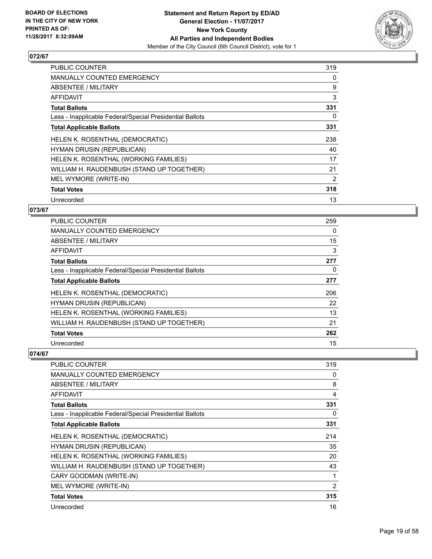

| <b>PUBLIC COUNTER</b>                                    | 319 |
|----------------------------------------------------------|-----|
| <b>MANUALLY COUNTED EMERGENCY</b>                        | 0   |
| ABSENTEE / MILITARY                                      | 9   |
| AFFIDAVIT                                                | 3   |
| <b>Total Ballots</b>                                     | 331 |
| Less - Inapplicable Federal/Special Presidential Ballots | 0   |
| <b>Total Applicable Ballots</b>                          | 331 |
| <b>HELEN K. ROSENTHAL (DEMOCRATIC)</b>                   | 238 |
| <b>HYMAN DRUSIN (REPUBLICAN)</b>                         | 40  |
| HELEN K. ROSENTHAL (WORKING FAMILIES)                    | 17  |
| WILLIAM H. RAUDENBUSH (STAND UP TOGETHER)                | 21  |
| MEL WYMORE (WRITE-IN)                                    | 2   |
| <b>Total Votes</b>                                       | 318 |
| Unrecorded                                               | 13  |

#### **073/67**

| <b>PUBLIC COUNTER</b>                                    | 259 |
|----------------------------------------------------------|-----|
| <b>MANUALLY COUNTED EMERGENCY</b>                        | 0   |
| ABSENTEE / MILITARY                                      | 15  |
| AFFIDAVIT                                                | 3   |
| <b>Total Ballots</b>                                     | 277 |
| Less - Inapplicable Federal/Special Presidential Ballots | 0   |
| <b>Total Applicable Ballots</b>                          | 277 |
| HELEN K. ROSENTHAL (DEMOCRATIC)                          | 206 |
| HYMAN DRUSIN (REPUBLICAN)                                | 22  |
| HELEN K. ROSENTHAL (WORKING FAMILIES)                    | 13  |
| WILLIAM H. RAUDENBUSH (STAND UP TOGETHER)                | 21  |
| <b>Total Votes</b>                                       | 262 |
| Unrecorded                                               | 15  |

| <b>PUBLIC COUNTER</b>                                    | 319 |
|----------------------------------------------------------|-----|
| <b>MANUALLY COUNTED EMERGENCY</b>                        | 0   |
| ABSENTEE / MILITARY                                      | 8   |
| AFFIDAVIT                                                | 4   |
| <b>Total Ballots</b>                                     | 331 |
| Less - Inapplicable Federal/Special Presidential Ballots | 0   |
| <b>Total Applicable Ballots</b>                          | 331 |
| HELEN K. ROSENTHAL (DEMOCRATIC)                          | 214 |
| HYMAN DRUSIN (REPUBLICAN)                                | 35  |
| HELEN K. ROSENTHAL (WORKING FAMILIES)                    | 20  |
| WILLIAM H. RAUDENBUSH (STAND UP TOGETHER)                | 43  |
| CARY GOODMAN (WRITE-IN)                                  | 1   |
| MEL WYMORE (WRITE-IN)                                    | 2   |
| <b>Total Votes</b>                                       | 315 |
| Unrecorded                                               | 16  |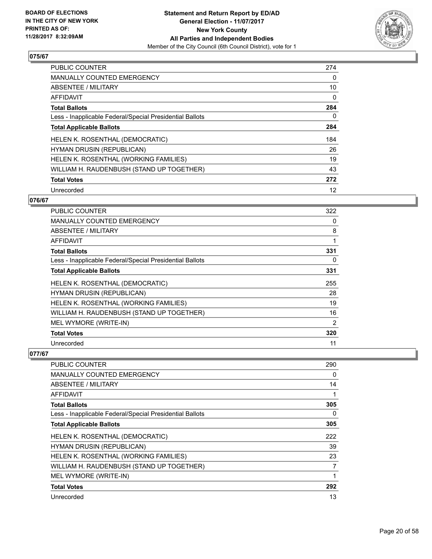

| <b>PUBLIC COUNTER</b>                                    | 274 |
|----------------------------------------------------------|-----|
| MANUALLY COUNTED EMERGENCY                               | 0   |
| ABSENTEE / MILITARY                                      | 10  |
| AFFIDAVIT                                                | 0   |
| <b>Total Ballots</b>                                     | 284 |
| Less - Inapplicable Federal/Special Presidential Ballots | 0   |
| <b>Total Applicable Ballots</b>                          | 284 |
| HELEN K. ROSENTHAL (DEMOCRATIC)                          | 184 |
| <b>HYMAN DRUSIN (REPUBLICAN)</b>                         | 26  |
| HELEN K. ROSENTHAL (WORKING FAMILIES)                    | 19  |
| WILLIAM H. RAUDENBUSH (STAND UP TOGETHER)                | 43  |
| <b>Total Votes</b>                                       | 272 |
| Unrecorded                                               | 12  |

## **076/67**

| <b>PUBLIC COUNTER</b>                                    | 322            |
|----------------------------------------------------------|----------------|
| <b>MANUALLY COUNTED EMERGENCY</b>                        | 0              |
| ABSENTEE / MILITARY                                      | 8              |
| <b>AFFIDAVIT</b>                                         | 1              |
| <b>Total Ballots</b>                                     | 331            |
| Less - Inapplicable Federal/Special Presidential Ballots | 0              |
| <b>Total Applicable Ballots</b>                          | 331            |
| HELEN K. ROSENTHAL (DEMOCRATIC)                          | 255            |
| HYMAN DRUSIN (REPUBLICAN)                                | 28             |
| HELEN K. ROSENTHAL (WORKING FAMILIES)                    | 19             |
| WILLIAM H. RAUDENBUSH (STAND UP TOGETHER)                | 16             |
| MEL WYMORE (WRITE-IN)                                    | $\overline{2}$ |
| <b>Total Votes</b>                                       | 320            |
| Unrecorded                                               | 11             |

| <b>PUBLIC COUNTER</b>                                    | 290 |
|----------------------------------------------------------|-----|
| <b>MANUALLY COUNTED EMERGENCY</b>                        | 0   |
| ABSENTEE / MILITARY                                      | 14  |
| AFFIDAVIT                                                |     |
| <b>Total Ballots</b>                                     | 305 |
| Less - Inapplicable Federal/Special Presidential Ballots | 0   |
| <b>Total Applicable Ballots</b>                          | 305 |
| HELEN K. ROSENTHAL (DEMOCRATIC)                          | 222 |
| HYMAN DRUSIN (REPUBLICAN)                                | 39  |
| HELEN K. ROSENTHAL (WORKING FAMILIES)                    | 23  |
| WILLIAM H. RAUDENBUSH (STAND UP TOGETHER)                | 7   |
| MEL WYMORE (WRITE-IN)                                    |     |
| <b>Total Votes</b>                                       | 292 |
| Unrecorded                                               | 13  |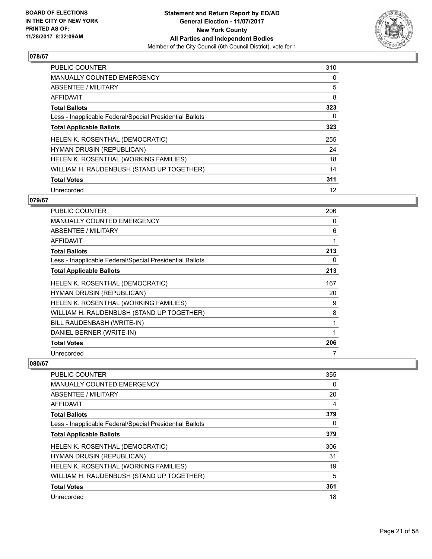

| <b>PUBLIC COUNTER</b>                                    | 310 |
|----------------------------------------------------------|-----|
| <b>MANUALLY COUNTED EMERGENCY</b>                        | 0   |
| ABSENTEE / MILITARY                                      | 5   |
| AFFIDAVIT                                                | 8   |
| <b>Total Ballots</b>                                     | 323 |
| Less - Inapplicable Federal/Special Presidential Ballots | 0   |
| <b>Total Applicable Ballots</b>                          | 323 |
| HELEN K. ROSENTHAL (DEMOCRATIC)                          | 255 |
| <b>HYMAN DRUSIN (REPUBLICAN)</b>                         | 24  |
| HELEN K. ROSENTHAL (WORKING FAMILIES)                    | 18  |
| WILLIAM H. RAUDENBUSH (STAND UP TOGETHER)                | 14  |
| <b>Total Votes</b>                                       | 311 |
| Unrecorded                                               | 12  |

## **079/67**

| <b>PUBLIC COUNTER</b>                                    | 206 |
|----------------------------------------------------------|-----|
| <b>MANUALLY COUNTED EMERGENCY</b>                        | 0   |
| ABSENTEE / MILITARY                                      | 6   |
| AFFIDAVIT                                                | 1   |
| <b>Total Ballots</b>                                     | 213 |
| Less - Inapplicable Federal/Special Presidential Ballots | 0   |
| <b>Total Applicable Ballots</b>                          | 213 |
| HELEN K. ROSENTHAL (DEMOCRATIC)                          | 167 |
| <b>HYMAN DRUSIN (REPUBLICAN)</b>                         | 20  |
| HELEN K. ROSENTHAL (WORKING FAMILIES)                    | 9   |
| WILLIAM H. RAUDENBUSH (STAND UP TOGETHER)                | 8   |
| BILL RAUDENBASH (WRITE-IN)                               | 1   |
| DANIEL BERNER (WRITE-IN)                                 | 1   |
| <b>Total Votes</b>                                       | 206 |
| Unrecorded                                               | 7   |

| <b>PUBLIC COUNTER</b>                                    | 355 |
|----------------------------------------------------------|-----|
| <b>MANUALLY COUNTED EMERGENCY</b>                        | 0   |
| ABSENTEE / MILITARY                                      | 20  |
| AFFIDAVIT                                                | 4   |
| <b>Total Ballots</b>                                     | 379 |
| Less - Inapplicable Federal/Special Presidential Ballots | 0   |
| <b>Total Applicable Ballots</b>                          | 379 |
| HELEN K. ROSENTHAL (DEMOCRATIC)                          | 306 |
| <b>HYMAN DRUSIN (REPUBLICAN)</b>                         | 31  |
| HELEN K. ROSENTHAL (WORKING FAMILIES)                    | 19  |
| WILLIAM H. RAUDENBUSH (STAND UP TOGETHER)                | 5   |
| <b>Total Votes</b>                                       | 361 |
| Unrecorded                                               | 18  |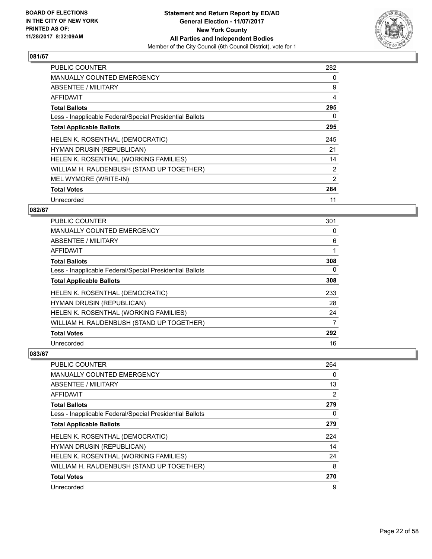

| <b>PUBLIC COUNTER</b>                                    | 282            |
|----------------------------------------------------------|----------------|
| <b>MANUALLY COUNTED EMERGENCY</b>                        | 0              |
| ABSENTEE / MILITARY                                      | 9              |
| AFFIDAVIT                                                | 4              |
| <b>Total Ballots</b>                                     | 295            |
| Less - Inapplicable Federal/Special Presidential Ballots | 0              |
| <b>Total Applicable Ballots</b>                          | 295            |
| HELEN K. ROSENTHAL (DEMOCRATIC)                          | 245            |
| <b>HYMAN DRUSIN (REPUBLICAN)</b>                         | 21             |
| HELEN K. ROSENTHAL (WORKING FAMILIES)                    | 14             |
| WILLIAM H. RAUDENBUSH (STAND UP TOGETHER)                | $\overline{2}$ |
| MEL WYMORE (WRITE-IN)                                    | 2              |
| <b>Total Votes</b>                                       | 284            |
| Unrecorded                                               | 11             |

## **082/67**

| PUBLIC COUNTER                                           | 301 |
|----------------------------------------------------------|-----|
| <b>MANUALLY COUNTED EMERGENCY</b>                        | 0   |
| ABSENTEE / MILITARY                                      | 6   |
| AFFIDAVIT                                                | 1   |
| <b>Total Ballots</b>                                     | 308 |
| Less - Inapplicable Federal/Special Presidential Ballots | 0   |
| <b>Total Applicable Ballots</b>                          | 308 |
| HELEN K. ROSENTHAL (DEMOCRATIC)                          | 233 |
| <b>HYMAN DRUSIN (REPUBLICAN)</b>                         | 28  |
| HELEN K. ROSENTHAL (WORKING FAMILIES)                    | 24  |
| WILLIAM H. RAUDENBUSH (STAND UP TOGETHER)                | 7   |
| <b>Total Votes</b>                                       | 292 |
| Unrecorded                                               | 16  |

| PUBLIC COUNTER                                           | 264 |
|----------------------------------------------------------|-----|
| <b>MANUALLY COUNTED EMERGENCY</b>                        | 0   |
| ABSENTEE / MILITARY                                      | 13  |
| AFFIDAVIT                                                | 2   |
| <b>Total Ballots</b>                                     | 279 |
| Less - Inapplicable Federal/Special Presidential Ballots | 0   |
| <b>Total Applicable Ballots</b>                          | 279 |
| HELEN K. ROSENTHAL (DEMOCRATIC)                          | 224 |
| <b>HYMAN DRUSIN (REPUBLICAN)</b>                         | 14  |
| HELEN K. ROSENTHAL (WORKING FAMILIES)                    | 24  |
| WILLIAM H. RAUDENBUSH (STAND UP TOGETHER)                | 8   |
| <b>Total Votes</b>                                       | 270 |
| Unrecorded                                               | 9   |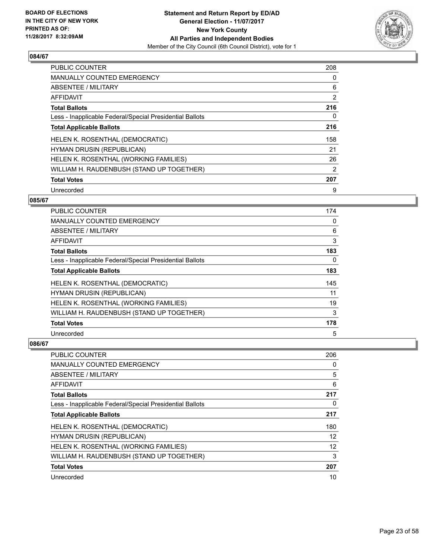

| <b>PUBLIC COUNTER</b>                                    | 208            |
|----------------------------------------------------------|----------------|
| <b>MANUALLY COUNTED EMERGENCY</b>                        | 0              |
| ABSENTEE / MILITARY                                      | 6              |
| <b>AFFIDAVIT</b>                                         | 2              |
| <b>Total Ballots</b>                                     | 216            |
| Less - Inapplicable Federal/Special Presidential Ballots | 0              |
| <b>Total Applicable Ballots</b>                          | 216            |
| HELEN K. ROSENTHAL (DEMOCRATIC)                          | 158            |
| <b>HYMAN DRUSIN (REPUBLICAN)</b>                         | 21             |
| HELEN K. ROSENTHAL (WORKING FAMILIES)                    | 26             |
| WILLIAM H. RAUDENBUSH (STAND UP TOGETHER)                | $\overline{2}$ |
| <b>Total Votes</b>                                       | 207            |
| Unrecorded                                               | 9              |

## **085/67**

| PUBLIC COUNTER                                           | 174 |
|----------------------------------------------------------|-----|
| MANUALLY COUNTED EMERGENCY                               | 0   |
| ABSENTEE / MILITARY                                      | 6   |
| AFFIDAVIT                                                | 3   |
| <b>Total Ballots</b>                                     | 183 |
| Less - Inapplicable Federal/Special Presidential Ballots | 0   |
| <b>Total Applicable Ballots</b>                          | 183 |
| HELEN K. ROSENTHAL (DEMOCRATIC)                          | 145 |
| HYMAN DRUSIN (REPUBLICAN)                                | 11  |
| HELEN K. ROSENTHAL (WORKING FAMILIES)                    | 19  |
| WILLIAM H. RAUDENBUSH (STAND UP TOGETHER)                | 3   |
| <b>Total Votes</b>                                       | 178 |
| Unrecorded                                               | 5   |

| PUBLIC COUNTER                                           | 206 |
|----------------------------------------------------------|-----|
| <b>MANUALLY COUNTED EMERGENCY</b>                        | 0   |
| ABSENTEE / MILITARY                                      | 5   |
| AFFIDAVIT                                                | 6   |
| <b>Total Ballots</b>                                     | 217 |
| Less - Inapplicable Federal/Special Presidential Ballots | 0   |
| <b>Total Applicable Ballots</b>                          | 217 |
| HELEN K. ROSENTHAL (DEMOCRATIC)                          | 180 |
| <b>HYMAN DRUSIN (REPUBLICAN)</b>                         | 12  |
| HELEN K. ROSENTHAL (WORKING FAMILIES)                    | 12  |
| WILLIAM H. RAUDENBUSH (STAND UP TOGETHER)                | 3   |
| <b>Total Votes</b>                                       | 207 |
| Unrecorded                                               | 10  |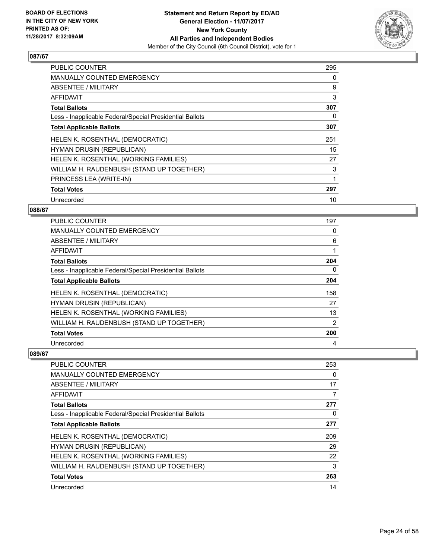

| <b>PUBLIC COUNTER</b>                                    | 295 |
|----------------------------------------------------------|-----|
| <b>MANUALLY COUNTED EMERGENCY</b>                        | 0   |
| ABSENTEE / MILITARY                                      | 9   |
| AFFIDAVIT                                                | 3   |
| <b>Total Ballots</b>                                     | 307 |
| Less - Inapplicable Federal/Special Presidential Ballots | 0   |
| <b>Total Applicable Ballots</b>                          | 307 |
| HELEN K. ROSENTHAL (DEMOCRATIC)                          | 251 |
| <b>HYMAN DRUSIN (REPUBLICAN)</b>                         | 15  |
| HELEN K. ROSENTHAL (WORKING FAMILIES)                    | 27  |
| WILLIAM H. RAUDENBUSH (STAND UP TOGETHER)                | 3   |
| PRINCESS LEA (WRITE-IN)                                  |     |
| <b>Total Votes</b>                                       | 297 |
|                                                          |     |

## **088/67**

| <b>PUBLIC COUNTER</b>                                    | 197            |
|----------------------------------------------------------|----------------|
| MANUALLY COUNTED EMERGENCY                               | 0              |
| ABSENTEE / MILITARY                                      | 6              |
| AFFIDAVIT                                                | 1              |
| <b>Total Ballots</b>                                     | 204            |
| Less - Inapplicable Federal/Special Presidential Ballots | 0              |
| <b>Total Applicable Ballots</b>                          | 204            |
| HELEN K. ROSENTHAL (DEMOCRATIC)                          | 158            |
| <b>HYMAN DRUSIN (REPUBLICAN)</b>                         | 27             |
| HELEN K. ROSENTHAL (WORKING FAMILIES)                    | 13             |
| WILLIAM H. RAUDENBUSH (STAND UP TOGETHER)                | $\overline{2}$ |
| <b>Total Votes</b>                                       | 200            |
| Unrecorded                                               | 4              |

| <b>PUBLIC COUNTER</b>                                    | 253 |
|----------------------------------------------------------|-----|
| <b>MANUALLY COUNTED EMERGENCY</b>                        | 0   |
| ABSENTEE / MILITARY                                      | 17  |
| AFFIDAVIT                                                | 7   |
| <b>Total Ballots</b>                                     | 277 |
| Less - Inapplicable Federal/Special Presidential Ballots | 0   |
| <b>Total Applicable Ballots</b>                          | 277 |
| HELEN K. ROSENTHAL (DEMOCRATIC)                          | 209 |
| HYMAN DRUSIN (REPUBLICAN)                                | 29  |
| HELEN K. ROSENTHAL (WORKING FAMILIES)                    | 22  |
| WILLIAM H. RAUDENBUSH (STAND UP TOGETHER)                | 3   |
| <b>Total Votes</b>                                       | 263 |
| Unrecorded                                               | 14  |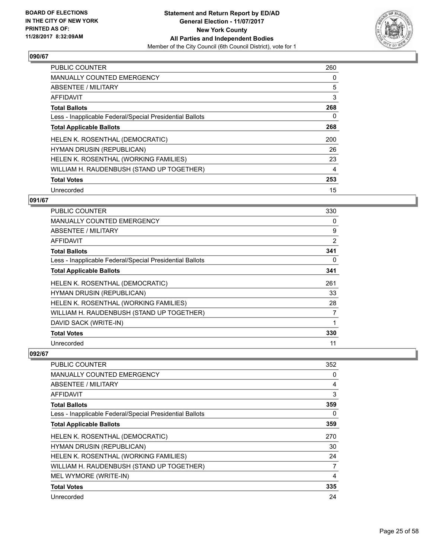

| <b>PUBLIC COUNTER</b>                                    | 260 |
|----------------------------------------------------------|-----|
| <b>MANUALLY COUNTED EMERGENCY</b>                        | 0   |
| ABSENTEE / MILITARY                                      | 5   |
| AFFIDAVIT                                                | 3   |
| <b>Total Ballots</b>                                     | 268 |
| Less - Inapplicable Federal/Special Presidential Ballots | 0   |
| <b>Total Applicable Ballots</b>                          | 268 |
| HELEN K. ROSENTHAL (DEMOCRATIC)                          | 200 |
| <b>HYMAN DRUSIN (REPUBLICAN)</b>                         | 26  |
| HELEN K. ROSENTHAL (WORKING FAMILIES)                    | 23  |
| WILLIAM H. RAUDENBUSH (STAND UP TOGETHER)                | 4   |
| <b>Total Votes</b>                                       | 253 |
| Unrecorded                                               | 15  |

## **091/67**

| <b>PUBLIC COUNTER</b>                                    | 330            |
|----------------------------------------------------------|----------------|
| <b>MANUALLY COUNTED EMERGENCY</b>                        | 0              |
| ABSENTEE / MILITARY                                      | 9              |
| AFFIDAVIT                                                | $\overline{2}$ |
| <b>Total Ballots</b>                                     | 341            |
| Less - Inapplicable Federal/Special Presidential Ballots | 0              |
| <b>Total Applicable Ballots</b>                          | 341            |
| HELEN K. ROSENTHAL (DEMOCRATIC)                          | 261            |
| HYMAN DRUSIN (REPUBLICAN)                                | 33             |
| HELEN K. ROSENTHAL (WORKING FAMILIES)                    | 28             |
| WILLIAM H. RAUDENBUSH (STAND UP TOGETHER)                | 7              |
| DAVID SACK (WRITE-IN)                                    | 1              |
| <b>Total Votes</b>                                       | 330            |
| Unrecorded                                               | 11             |

| <b>PUBLIC COUNTER</b>                                    | 352 |
|----------------------------------------------------------|-----|
| <b>MANUALLY COUNTED EMERGENCY</b>                        | 0   |
| ABSENTEE / MILITARY                                      | 4   |
| AFFIDAVIT                                                | 3   |
| <b>Total Ballots</b>                                     | 359 |
| Less - Inapplicable Federal/Special Presidential Ballots | 0   |
| <b>Total Applicable Ballots</b>                          | 359 |
| HELEN K. ROSENTHAL (DEMOCRATIC)                          | 270 |
| <b>HYMAN DRUSIN (REPUBLICAN)</b>                         | 30  |
| HELEN K. ROSENTHAL (WORKING FAMILIES)                    | 24  |
| WILLIAM H. RAUDENBUSH (STAND UP TOGETHER)                | 7   |
| MEL WYMORE (WRITE-IN)                                    | 4   |
| <b>Total Votes</b>                                       | 335 |
| Unrecorded                                               | 24  |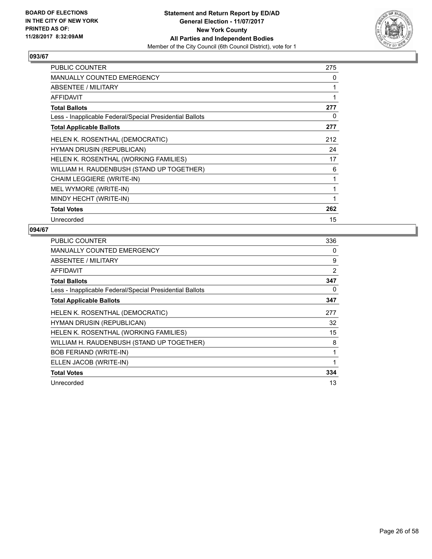

| <b>PUBLIC COUNTER</b>                                    | 275 |
|----------------------------------------------------------|-----|
| <b>MANUALLY COUNTED EMERGENCY</b>                        | 0   |
| ABSENTEE / MILITARY                                      | 1   |
| <b>AFFIDAVIT</b>                                         | 1   |
| <b>Total Ballots</b>                                     | 277 |
| Less - Inapplicable Federal/Special Presidential Ballots | 0   |
| <b>Total Applicable Ballots</b>                          | 277 |
| HELEN K. ROSENTHAL (DEMOCRATIC)                          | 212 |
| <b>HYMAN DRUSIN (REPUBLICAN)</b>                         | 24  |
| HELEN K. ROSENTHAL (WORKING FAMILIES)                    | 17  |
| WILLIAM H. RAUDENBUSH (STAND UP TOGETHER)                | 6   |
| CHAIM LEGGIERE (WRITE-IN)                                | 1   |
| MEL WYMORE (WRITE-IN)                                    | 1   |
| MINDY HECHT (WRITE-IN)                                   | 1   |
| <b>Total Votes</b>                                       | 262 |
| Unrecorded                                               | 15  |

| <b>PUBLIC COUNTER</b>                                    | 336 |
|----------------------------------------------------------|-----|
| <b>MANUALLY COUNTED EMERGENCY</b>                        | 0   |
| ABSENTEE / MILITARY                                      | 9   |
| AFFIDAVIT                                                | 2   |
| <b>Total Ballots</b>                                     | 347 |
| Less - Inapplicable Federal/Special Presidential Ballots | 0   |
| <b>Total Applicable Ballots</b>                          | 347 |
| HELEN K. ROSENTHAL (DEMOCRATIC)                          | 277 |
| <b>HYMAN DRUSIN (REPUBLICAN)</b>                         | 32  |
| HELEN K. ROSENTHAL (WORKING FAMILIES)                    | 15  |
| WILLIAM H. RAUDENBUSH (STAND UP TOGETHER)                | 8   |
| <b>BOB FERIAND (WRITE-IN)</b>                            | 1   |
| ELLEN JACOB (WRITE-IN)                                   | 1   |
| <b>Total Votes</b>                                       | 334 |
| Unrecorded                                               | 13  |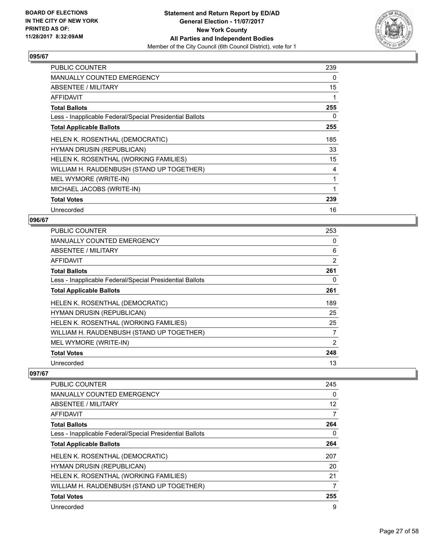

| <b>PUBLIC COUNTER</b>                                    | 239 |
|----------------------------------------------------------|-----|
| MANUALLY COUNTED EMERGENCY                               | 0   |
| <b>ABSENTEE / MILITARY</b>                               | 15  |
| <b>AFFIDAVIT</b>                                         | 1   |
| <b>Total Ballots</b>                                     | 255 |
| Less - Inapplicable Federal/Special Presidential Ballots | 0   |
| <b>Total Applicable Ballots</b>                          | 255 |
| HELEN K. ROSENTHAL (DEMOCRATIC)                          | 185 |
| HYMAN DRUSIN (REPUBLICAN)                                | 33  |
| HELEN K. ROSENTHAL (WORKING FAMILIES)                    | 15  |
| WILLIAM H. RAUDENBUSH (STAND UP TOGETHER)                | 4   |
| MEL WYMORE (WRITE-IN)                                    | 1   |
| MICHAEL JACOBS (WRITE-IN)                                | 1   |
| <b>Total Votes</b>                                       | 239 |
| Unrecorded                                               | 16  |

#### **096/67**

| <b>PUBLIC COUNTER</b>                                    | 253 |
|----------------------------------------------------------|-----|
| <b>MANUALLY COUNTED EMERGENCY</b>                        | 0   |
| ABSENTEE / MILITARY                                      | 6   |
| AFFIDAVIT                                                | 2   |
| <b>Total Ballots</b>                                     | 261 |
| Less - Inapplicable Federal/Special Presidential Ballots | 0   |
| <b>Total Applicable Ballots</b>                          | 261 |
| HELEN K. ROSENTHAL (DEMOCRATIC)                          | 189 |
| HYMAN DRUSIN (REPUBLICAN)                                | 25  |
| HELEN K. ROSENTHAL (WORKING FAMILIES)                    | 25  |
| WILLIAM H. RAUDENBUSH (STAND UP TOGETHER)                | 7   |
| MEL WYMORE (WRITE-IN)                                    | 2   |
| <b>Total Votes</b>                                       | 248 |
| Unrecorded                                               | 13  |

| <b>PUBLIC COUNTER</b>                                    | 245 |
|----------------------------------------------------------|-----|
| <b>MANUALLY COUNTED EMERGENCY</b>                        | 0   |
| ABSENTEE / MILITARY                                      | 12  |
| AFFIDAVIT                                                | 7   |
| <b>Total Ballots</b>                                     | 264 |
| Less - Inapplicable Federal/Special Presidential Ballots | 0   |
| <b>Total Applicable Ballots</b>                          | 264 |
| HELEN K. ROSENTHAL (DEMOCRATIC)                          | 207 |
| HYMAN DRUSIN (REPUBLICAN)                                | 20  |
| HELEN K. ROSENTHAL (WORKING FAMILIES)                    | 21  |
| WILLIAM H. RAUDENBUSH (STAND UP TOGETHER)                | 7   |
| <b>Total Votes</b>                                       | 255 |
| Unrecorded                                               | 9   |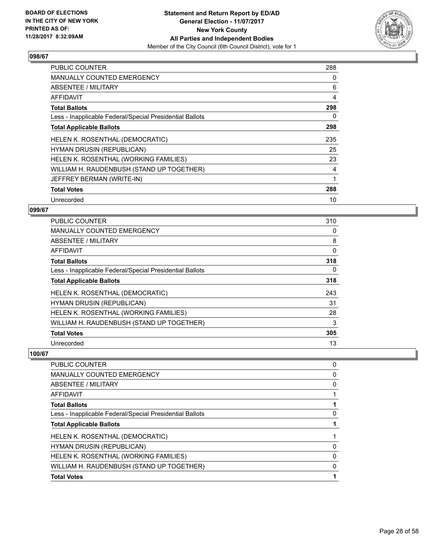

| <b>PUBLIC COUNTER</b>                                    | 288 |
|----------------------------------------------------------|-----|
| <b>MANUALLY COUNTED EMERGENCY</b>                        | 0   |
| ABSENTEE / MILITARY                                      | 6   |
| AFFIDAVIT                                                | 4   |
| <b>Total Ballots</b>                                     | 298 |
| Less - Inapplicable Federal/Special Presidential Ballots | 0   |
| <b>Total Applicable Ballots</b>                          | 298 |
| HELEN K. ROSENTHAL (DEMOCRATIC)                          | 235 |
| <b>HYMAN DRUSIN (REPUBLICAN)</b>                         | 25  |
| HELEN K. ROSENTHAL (WORKING FAMILIES)                    | 23  |
| WILLIAM H. RAUDENBUSH (STAND UP TOGETHER)                | 4   |
| JEFFREY BERMAN (WRITE-IN)                                | 1   |
| <b>Total Votes</b>                                       | 288 |
| Unrecorded                                               |     |

#### **099/67**

| <b>PUBLIC COUNTER</b>                                    | 310 |
|----------------------------------------------------------|-----|
| <b>MANUALLY COUNTED EMERGENCY</b>                        | 0   |
| ABSENTEE / MILITARY                                      | 8   |
| AFFIDAVIT                                                | 0   |
| <b>Total Ballots</b>                                     | 318 |
| Less - Inapplicable Federal/Special Presidential Ballots | 0   |
| <b>Total Applicable Ballots</b>                          | 318 |
| HELEN K. ROSENTHAL (DEMOCRATIC)                          | 243 |
| <b>HYMAN DRUSIN (REPUBLICAN)</b>                         | 31  |
| HELEN K. ROSENTHAL (WORKING FAMILIES)                    | 28  |
| WILLIAM H. RAUDENBUSH (STAND UP TOGETHER)                | 3   |
| <b>Total Votes</b>                                       | 305 |
| Unrecorded                                               | 13  |

| PUBLIC COUNTER                                           | 0        |
|----------------------------------------------------------|----------|
| <b>MANUALLY COUNTED EMERGENCY</b>                        | 0        |
| <b>ABSENTEE / MILITARY</b>                               | 0        |
| AFFIDAVIT                                                |          |
| <b>Total Ballots</b>                                     |          |
| Less - Inapplicable Federal/Special Presidential Ballots | $\Omega$ |
| <b>Total Applicable Ballots</b>                          |          |
| HELEN K. ROSENTHAL (DEMOCRATIC)                          |          |
| HYMAN DRUSIN (REPUBLICAN)                                | 0        |
| HELEN K. ROSENTHAL (WORKING FAMILIES)                    | 0        |
| WILLIAM H. RAUDENBUSH (STAND UP TOGETHER)                | 0        |
| <b>Total Votes</b>                                       |          |
|                                                          |          |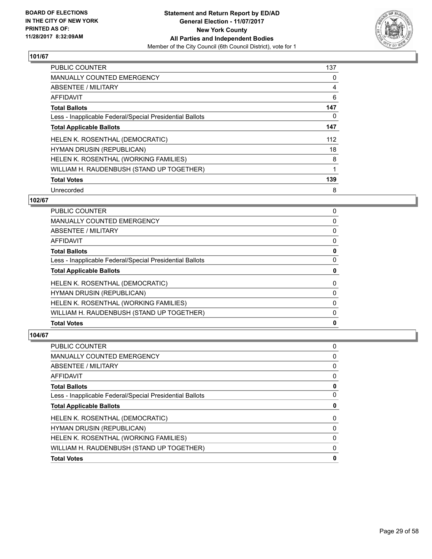

| <b>PUBLIC COUNTER</b>                                    | 137 |
|----------------------------------------------------------|-----|
| <b>MANUALLY COUNTED EMERGENCY</b>                        | 0   |
| ABSENTEE / MILITARY                                      | 4   |
| <b>AFFIDAVIT</b>                                         | 6   |
| <b>Total Ballots</b>                                     | 147 |
| Less - Inapplicable Federal/Special Presidential Ballots | 0   |
| <b>Total Applicable Ballots</b>                          | 147 |
| HELEN K. ROSENTHAL (DEMOCRATIC)                          | 112 |
| <b>HYMAN DRUSIN (REPUBLICAN)</b>                         | 18  |
| HELEN K. ROSENTHAL (WORKING FAMILIES)                    | 8   |
| WILLIAM H. RAUDENBUSH (STAND UP TOGETHER)                |     |
| <b>Total Votes</b>                                       | 139 |
| Unrecorded                                               | 8   |

## **102/67**

| <b>PUBLIC COUNTER</b>                                    | 0 |
|----------------------------------------------------------|---|
| <b>MANUALLY COUNTED EMERGENCY</b>                        | 0 |
| ABSENTEE / MILITARY                                      | 0 |
| AFFIDAVIT                                                | 0 |
| <b>Total Ballots</b>                                     | 0 |
| Less - Inapplicable Federal/Special Presidential Ballots | 0 |
| <b>Total Applicable Ballots</b>                          | 0 |
| HELEN K. ROSENTHAL (DEMOCRATIC)                          | 0 |
|                                                          |   |
| HYMAN DRUSIN (REPUBLICAN)                                | 0 |
| HELEN K. ROSENTHAL (WORKING FAMILIES)                    | 0 |
| WILLIAM H. RAUDENBUSH (STAND UP TOGETHER)                | 0 |

| PUBLIC COUNTER                                           | 0 |
|----------------------------------------------------------|---|
| <b>MANUALLY COUNTED EMERGENCY</b>                        | 0 |
| <b>ABSENTEE / MILITARY</b>                               | 0 |
| <b>AFFIDAVIT</b>                                         | 0 |
| <b>Total Ballots</b>                                     | 0 |
| Less - Inapplicable Federal/Special Presidential Ballots | 0 |
| <b>Total Applicable Ballots</b>                          | 0 |
| HELEN K. ROSENTHAL (DEMOCRATIC)                          | 0 |
| <b>HYMAN DRUSIN (REPUBLICAN)</b>                         | 0 |
| HELEN K. ROSENTHAL (WORKING FAMILIES)                    | 0 |
| WILLIAM H. RAUDENBUSH (STAND UP TOGETHER)                | 0 |
| <b>Total Votes</b>                                       | 0 |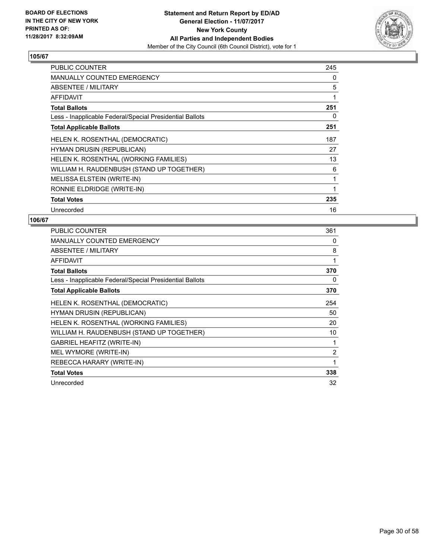

| <b>PUBLIC COUNTER</b>                                    | 245 |
|----------------------------------------------------------|-----|
| <b>MANUALLY COUNTED EMERGENCY</b>                        | 0   |
| ABSENTEE / MILITARY                                      | 5   |
| AFFIDAVIT                                                | 1   |
| <b>Total Ballots</b>                                     | 251 |
| Less - Inapplicable Federal/Special Presidential Ballots | 0   |
| <b>Total Applicable Ballots</b>                          | 251 |
| HELEN K. ROSENTHAL (DEMOCRATIC)                          | 187 |
| <b>HYMAN DRUSIN (REPUBLICAN)</b>                         | 27  |
| HELEN K. ROSENTHAL (WORKING FAMILIES)                    | 13  |
| WILLIAM H. RAUDENBUSH (STAND UP TOGETHER)                | 6   |
| MELISSA ELSTEIN (WRITE-IN)                               | 1   |
| RONNIE ELDRIDGE (WRITE-IN)                               | 1   |
| <b>Total Votes</b>                                       | 235 |
| Unrecorded                                               | 16  |

| PUBLIC COUNTER                                           | 361            |
|----------------------------------------------------------|----------------|
| <b>MANUALLY COUNTED EMERGENCY</b>                        | 0              |
| ABSENTEE / MILITARY                                      | 8              |
| <b>AFFIDAVIT</b>                                         | 1              |
| <b>Total Ballots</b>                                     | 370            |
| Less - Inapplicable Federal/Special Presidential Ballots | 0              |
| <b>Total Applicable Ballots</b>                          | 370            |
| HELEN K. ROSENTHAL (DEMOCRATIC)                          | 254            |
| <b>HYMAN DRUSIN (REPUBLICAN)</b>                         | 50             |
| HELEN K. ROSENTHAL (WORKING FAMILIES)                    | 20             |
| WILLIAM H. RAUDENBUSH (STAND UP TOGETHER)                | 10             |
| GABRIEL HEAFITZ (WRITE-IN)                               | 1              |
| MEL WYMORE (WRITE-IN)                                    | $\overline{2}$ |
| REBECCA HARARY (WRITE-IN)                                | 1              |
| <b>Total Votes</b>                                       | 338            |
| Unrecorded                                               | 32             |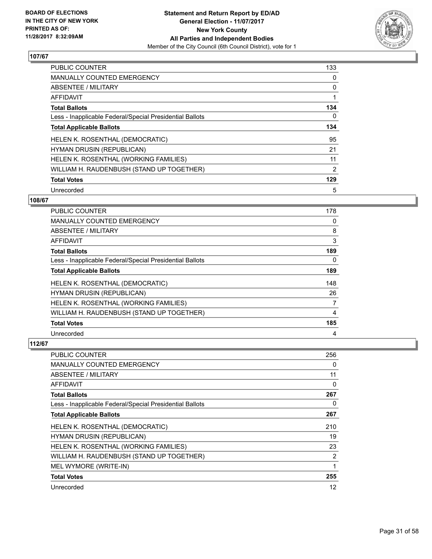

| <b>PUBLIC COUNTER</b>                                    | 133 |
|----------------------------------------------------------|-----|
| MANUALLY COUNTED EMERGENCY                               | 0   |
| ABSENTEE / MILITARY                                      | 0   |
| <b>AFFIDAVIT</b>                                         |     |
| <b>Total Ballots</b>                                     | 134 |
| Less - Inapplicable Federal/Special Presidential Ballots | 0   |
| <b>Total Applicable Ballots</b>                          | 134 |
| HELEN K. ROSENTHAL (DEMOCRATIC)                          | 95  |
| <b>HYMAN DRUSIN (REPUBLICAN)</b>                         | 21  |
| HELEN K. ROSENTHAL (WORKING FAMILIES)                    | 11  |
| WILLIAM H. RAUDENBUSH (STAND UP TOGETHER)                | 2   |
| <b>Total Votes</b>                                       | 129 |
| Unrecorded                                               | 5   |

## **108/67**

| <b>PUBLIC COUNTER</b>                                    | 178 |
|----------------------------------------------------------|-----|
| <b>MANUALLY COUNTED EMERGENCY</b>                        | 0   |
| ABSENTEE / MILITARY                                      | 8   |
| AFFIDAVIT                                                | 3   |
| <b>Total Ballots</b>                                     | 189 |
| Less - Inapplicable Federal/Special Presidential Ballots | 0   |
| <b>Total Applicable Ballots</b>                          | 189 |
| HELEN K. ROSENTHAL (DEMOCRATIC)                          | 148 |
| HYMAN DRUSIN (REPUBLICAN)                                | 26  |
| HELEN K. ROSENTHAL (WORKING FAMILIES)                    | 7   |
| WILLIAM H. RAUDENBUSH (STAND UP TOGETHER)                | 4   |
| <b>Total Votes</b>                                       | 185 |
| Unrecorded                                               | 4   |

| <b>PUBLIC COUNTER</b>                                    | 256            |
|----------------------------------------------------------|----------------|
| <b>MANUALLY COUNTED EMERGENCY</b>                        | 0              |
| ABSENTEE / MILITARY                                      | 11             |
| AFFIDAVIT                                                | 0              |
| <b>Total Ballots</b>                                     | 267            |
| Less - Inapplicable Federal/Special Presidential Ballots | 0              |
| <b>Total Applicable Ballots</b>                          | 267            |
| HELEN K. ROSENTHAL (DEMOCRATIC)                          | 210            |
| HYMAN DRUSIN (REPUBLICAN)                                | 19             |
| HELEN K. ROSENTHAL (WORKING FAMILIES)                    | 23             |
| WILLIAM H. RAUDENBUSH (STAND UP TOGETHER)                | $\overline{2}$ |
| MEL WYMORE (WRITE-IN)                                    | 1              |
| <b>Total Votes</b>                                       | 255            |
| Unrecorded                                               | 12             |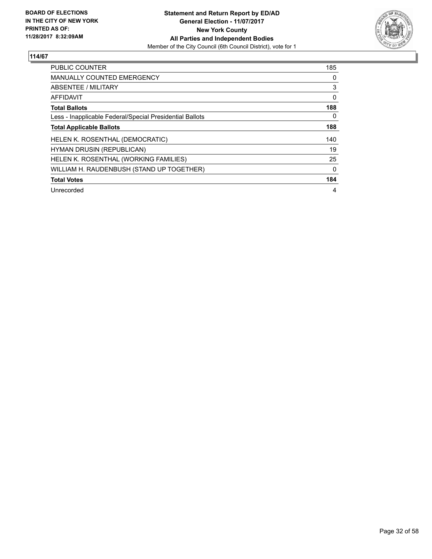

| <b>PUBLIC COUNTER</b>                                    | 185 |
|----------------------------------------------------------|-----|
| <b>MANUALLY COUNTED EMERGENCY</b>                        | 0   |
| ABSENTEE / MILITARY                                      | 3   |
| <b>AFFIDAVIT</b>                                         | 0   |
| <b>Total Ballots</b>                                     | 188 |
| Less - Inapplicable Federal/Special Presidential Ballots | 0   |
| <b>Total Applicable Ballots</b>                          | 188 |
| HELEN K. ROSENTHAL (DEMOCRATIC)                          | 140 |
| <b>HYMAN DRUSIN (REPUBLICAN)</b>                         | 19  |
| HELEN K. ROSENTHAL (WORKING FAMILIES)                    | 25  |
| WILLIAM H. RAUDENBUSH (STAND UP TOGETHER)                | 0   |
| <b>Total Votes</b>                                       | 184 |
| Unrecorded                                               | 4   |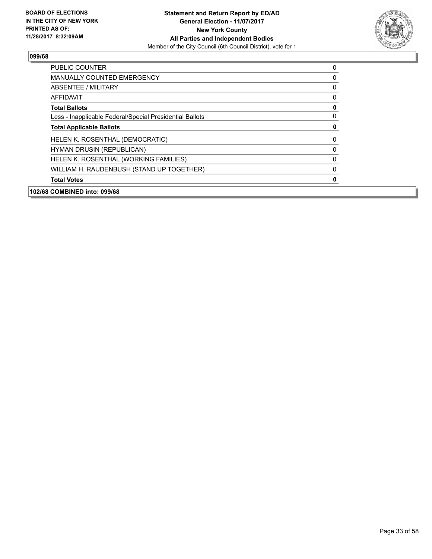

| PUBLIC COUNTER                                           | 0 |
|----------------------------------------------------------|---|
| <b>MANUALLY COUNTED EMERGENCY</b>                        | 0 |
| ABSENTEE / MILITARY                                      | 0 |
| AFFIDAVIT                                                | 0 |
| <b>Total Ballots</b>                                     | 0 |
| Less - Inapplicable Federal/Special Presidential Ballots | 0 |
| <b>Total Applicable Ballots</b>                          | 0 |
| HELEN K. ROSENTHAL (DEMOCRATIC)                          | 0 |
| <b>HYMAN DRUSIN (REPUBLICAN)</b>                         | 0 |
| HELEN K. ROSENTHAL (WORKING FAMILIES)                    | 0 |
| WILLIAM H. RAUDENBUSH (STAND UP TOGETHER)                | 0 |
| <b>Total Votes</b>                                       | O |
| 102/68 COMBINED into: 099/68                             |   |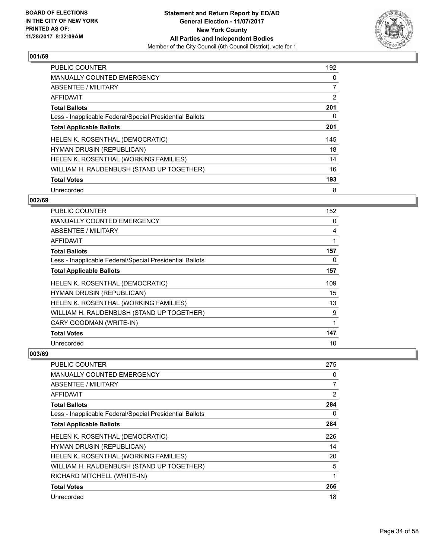

| <b>PUBLIC COUNTER</b>                                    | 192 |
|----------------------------------------------------------|-----|
| <b>MANUALLY COUNTED EMERGENCY</b>                        | 0   |
| ABSENTEE / MILITARY                                      | 7   |
| <b>AFFIDAVIT</b>                                         | 2   |
| <b>Total Ballots</b>                                     | 201 |
| Less - Inapplicable Federal/Special Presidential Ballots | 0   |
| <b>Total Applicable Ballots</b>                          | 201 |
| HELEN K. ROSENTHAL (DEMOCRATIC)                          | 145 |
| <b>HYMAN DRUSIN (REPUBLICAN)</b>                         | 18  |
| HELEN K. ROSENTHAL (WORKING FAMILIES)                    | 14  |
| WILLIAM H. RAUDENBUSH (STAND UP TOGETHER)                | 16  |
| <b>Total Votes</b>                                       | 193 |
| Unrecorded                                               | 8   |

## **002/69**

| PUBLIC COUNTER                                           | 152 |
|----------------------------------------------------------|-----|
| <b>MANUALLY COUNTED EMERGENCY</b>                        | 0   |
| ABSENTEE / MILITARY                                      | 4   |
| <b>AFFIDAVIT</b>                                         | 1   |
| <b>Total Ballots</b>                                     | 157 |
| Less - Inapplicable Federal/Special Presidential Ballots | 0   |
| <b>Total Applicable Ballots</b>                          | 157 |
| HELEN K. ROSENTHAL (DEMOCRATIC)                          | 109 |
| HYMAN DRUSIN (REPUBLICAN)                                | 15  |
| HELEN K. ROSENTHAL (WORKING FAMILIES)                    | 13  |
| WILLIAM H. RAUDENBUSH (STAND UP TOGETHER)                | 9   |
| CARY GOODMAN (WRITE-IN)                                  | 1   |
| <b>Total Votes</b>                                       | 147 |
| Unrecorded                                               | 10  |

| <b>PUBLIC COUNTER</b>                                    | 275            |
|----------------------------------------------------------|----------------|
| <b>MANUALLY COUNTED EMERGENCY</b>                        | 0              |
| ABSENTEE / MILITARY                                      | $\overline{7}$ |
| AFFIDAVIT                                                | 2              |
| <b>Total Ballots</b>                                     | 284            |
| Less - Inapplicable Federal/Special Presidential Ballots | 0              |
| <b>Total Applicable Ballots</b>                          | 284            |
| HELEN K. ROSENTHAL (DEMOCRATIC)                          | 226            |
| <b>HYMAN DRUSIN (REPUBLICAN)</b>                         | 14             |
| HELEN K. ROSENTHAL (WORKING FAMILIES)                    | 20             |
| WILLIAM H. RAUDENBUSH (STAND UP TOGETHER)                | 5              |
| RICHARD MITCHELL (WRITE-IN)                              |                |
| <b>Total Votes</b>                                       | 266            |
| Unrecorded                                               | 18             |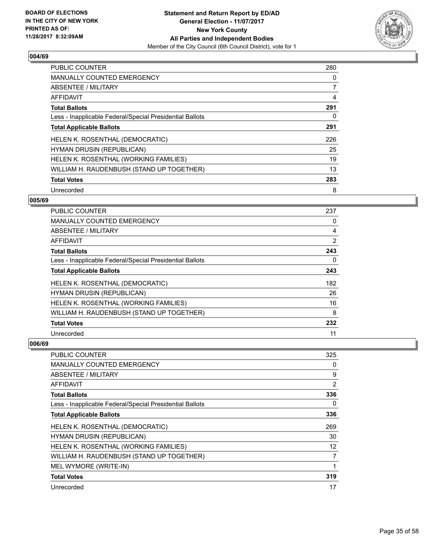

| <b>PUBLIC COUNTER</b>                                    | 280 |
|----------------------------------------------------------|-----|
| <b>MANUALLY COUNTED EMERGENCY</b>                        | 0   |
| ABSENTEE / MILITARY                                      | 7   |
| <b>AFFIDAVIT</b>                                         | 4   |
| <b>Total Ballots</b>                                     | 291 |
| Less - Inapplicable Federal/Special Presidential Ballots | 0   |
| <b>Total Applicable Ballots</b>                          | 291 |
| HELEN K. ROSENTHAL (DEMOCRATIC)                          | 226 |
| <b>HYMAN DRUSIN (REPUBLICAN)</b>                         | 25  |
| HELEN K. ROSENTHAL (WORKING FAMILIES)                    | 19  |
| WILLIAM H. RAUDENBUSH (STAND UP TOGETHER)                | 13  |
| <b>Total Votes</b>                                       | 283 |
| Unrecorded                                               | 8   |

## **005/69**

| <b>PUBLIC COUNTER</b>                                    | 237 |
|----------------------------------------------------------|-----|
| <b>MANUALLY COUNTED EMERGENCY</b>                        | 0   |
| ABSENTEE / MILITARY                                      | 4   |
| AFFIDAVIT                                                | 2   |
| <b>Total Ballots</b>                                     | 243 |
| Less - Inapplicable Federal/Special Presidential Ballots | 0   |
| <b>Total Applicable Ballots</b>                          | 243 |
| HELEN K. ROSENTHAL (DEMOCRATIC)                          | 182 |
| <b>HYMAN DRUSIN (REPUBLICAN)</b>                         | 26  |
| HELEN K. ROSENTHAL (WORKING FAMILIES)                    | 16  |
| WILLIAM H. RAUDENBUSH (STAND UP TOGETHER)                | 8   |
| <b>Total Votes</b>                                       | 232 |
| Unrecorded                                               | 11  |

| <b>PUBLIC COUNTER</b>                                    | 325            |
|----------------------------------------------------------|----------------|
| <b>MANUALLY COUNTED EMERGENCY</b>                        | 0              |
| ABSENTEE / MILITARY                                      | 9              |
| AFFIDAVIT                                                | $\overline{2}$ |
| <b>Total Ballots</b>                                     | 336            |
| Less - Inapplicable Federal/Special Presidential Ballots | 0              |
| <b>Total Applicable Ballots</b>                          | 336            |
| HELEN K. ROSENTHAL (DEMOCRATIC)                          | 269            |
| <b>HYMAN DRUSIN (REPUBLICAN)</b>                         | 30             |
| HELEN K. ROSENTHAL (WORKING FAMILIES)                    | 12             |
| WILLIAM H. RAUDENBUSH (STAND UP TOGETHER)                | 7              |
| MEL WYMORE (WRITE-IN)                                    |                |
| <b>Total Votes</b>                                       | 319            |
| Unrecorded                                               | 17             |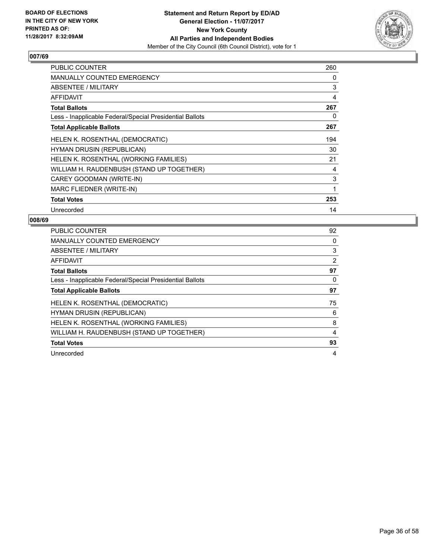

| <b>PUBLIC COUNTER</b>                                    | 260 |
|----------------------------------------------------------|-----|
| <b>MANUALLY COUNTED EMERGENCY</b>                        | 0   |
| ABSENTEE / MILITARY                                      | 3   |
| AFFIDAVIT                                                | 4   |
| <b>Total Ballots</b>                                     | 267 |
| Less - Inapplicable Federal/Special Presidential Ballots | 0   |
| <b>Total Applicable Ballots</b>                          | 267 |
| HELEN K. ROSENTHAL (DEMOCRATIC)                          | 194 |
| <b>HYMAN DRUSIN (REPUBLICAN)</b>                         | 30  |
| HELEN K. ROSENTHAL (WORKING FAMILIES)                    | 21  |
| WILLIAM H. RAUDENBUSH (STAND UP TOGETHER)                | 4   |
| CAREY GOODMAN (WRITE-IN)                                 | 3   |
| MARC FLIEDNER (WRITE-IN)                                 | 1   |
| <b>Total Votes</b>                                       | 253 |
| Unrecorded                                               | 14  |

| <b>PUBLIC COUNTER</b>                                    | 92             |
|----------------------------------------------------------|----------------|
| <b>MANUALLY COUNTED EMERGENCY</b>                        | 0              |
| ABSENTEE / MILITARY                                      | 3              |
| <b>AFFIDAVIT</b>                                         | $\overline{2}$ |
| <b>Total Ballots</b>                                     | 97             |
| Less - Inapplicable Federal/Special Presidential Ballots | 0              |
| <b>Total Applicable Ballots</b>                          | 97             |
| HELEN K. ROSENTHAL (DEMOCRATIC)                          | 75             |
| <b>HYMAN DRUSIN (REPUBLICAN)</b>                         | 6              |
| HELEN K. ROSENTHAL (WORKING FAMILIES)                    | 8              |
| WILLIAM H. RAUDENBUSH (STAND UP TOGETHER)                | 4              |
| <b>Total Votes</b>                                       | 93             |
| Unrecorded                                               | 4              |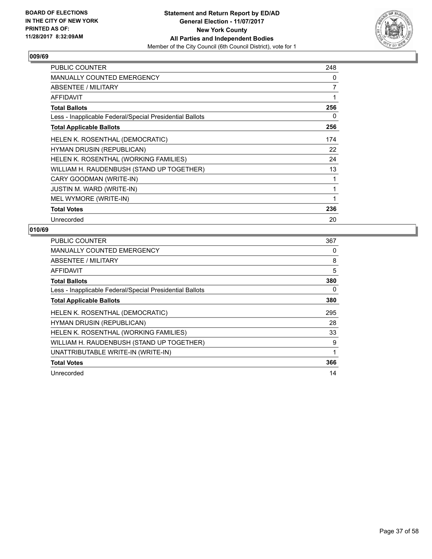

| <b>PUBLIC COUNTER</b>                                    | 248            |
|----------------------------------------------------------|----------------|
| <b>MANUALLY COUNTED EMERGENCY</b>                        | 0              |
| ABSENTEE / MILITARY                                      | $\overline{7}$ |
| <b>AFFIDAVIT</b>                                         | 1              |
| <b>Total Ballots</b>                                     | 256            |
| Less - Inapplicable Federal/Special Presidential Ballots | 0              |
| <b>Total Applicable Ballots</b>                          | 256            |
| HELEN K. ROSENTHAL (DEMOCRATIC)                          | 174            |
| <b>HYMAN DRUSIN (REPUBLICAN)</b>                         | 22             |
| HELEN K. ROSENTHAL (WORKING FAMILIES)                    | 24             |
| WILLIAM H. RAUDENBUSH (STAND UP TOGETHER)                | 13             |
| CARY GOODMAN (WRITE-IN)                                  | 1              |
| <b>JUSTIN M. WARD (WRITE-IN)</b>                         | 1              |
| MEL WYMORE (WRITE-IN)                                    | 1              |
| <b>Total Votes</b>                                       | 236            |
| Unrecorded                                               | 20             |

| <b>PUBLIC COUNTER</b>                                    | 367 |
|----------------------------------------------------------|-----|
| <b>MANUALLY COUNTED EMERGENCY</b>                        | 0   |
| ABSENTEE / MILITARY                                      | 8   |
| AFFIDAVIT                                                | 5   |
| <b>Total Ballots</b>                                     | 380 |
| Less - Inapplicable Federal/Special Presidential Ballots | 0   |
| <b>Total Applicable Ballots</b>                          | 380 |
| HELEN K. ROSENTHAL (DEMOCRATIC)                          | 295 |
| <b>HYMAN DRUSIN (REPUBLICAN)</b>                         | 28  |
| HELEN K. ROSENTHAL (WORKING FAMILIES)                    | 33  |
| WILLIAM H. RAUDENBUSH (STAND UP TOGETHER)                | 9   |
| UNATTRIBUTABLE WRITE-IN (WRITE-IN)                       | 1   |
| <b>Total Votes</b>                                       | 366 |
| Unrecorded                                               | 14  |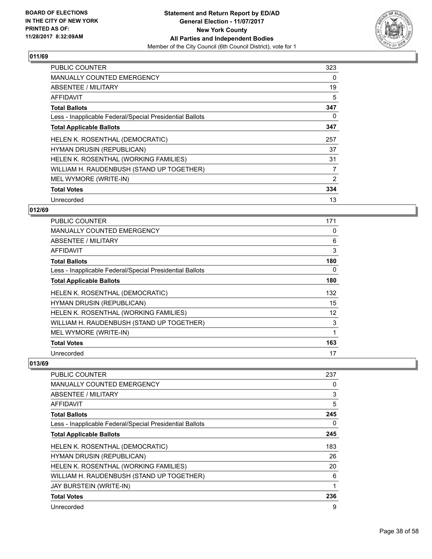

| <b>PUBLIC COUNTER</b>                                    | 323 |
|----------------------------------------------------------|-----|
| <b>MANUALLY COUNTED EMERGENCY</b>                        | 0   |
| <b>ABSENTEE / MILITARY</b>                               | 19  |
| AFFIDAVIT                                                | 5   |
| <b>Total Ballots</b>                                     | 347 |
| Less - Inapplicable Federal/Special Presidential Ballots | 0   |
| <b>Total Applicable Ballots</b>                          | 347 |
| <b>HELEN K. ROSENTHAL (DEMOCRATIC)</b>                   | 257 |
| <b>HYMAN DRUSIN (REPUBLICAN)</b>                         | 37  |
| HELEN K. ROSENTHAL (WORKING FAMILIES)                    | 31  |
| WILLIAM H. RAUDENBUSH (STAND UP TOGETHER)                | 7   |
| MEL WYMORE (WRITE-IN)                                    | 2   |
| <b>Total Votes</b>                                       | 334 |
| Unrecorded                                               | 13  |

## **012/69**

| <b>PUBLIC COUNTER</b>                                    | 171 |
|----------------------------------------------------------|-----|
| <b>MANUALLY COUNTED EMERGENCY</b>                        | 0   |
| ABSENTEE / MILITARY                                      | 6   |
| AFFIDAVIT                                                | 3   |
| <b>Total Ballots</b>                                     | 180 |
| Less - Inapplicable Federal/Special Presidential Ballots | 0   |
| <b>Total Applicable Ballots</b>                          | 180 |
| HELEN K. ROSENTHAL (DEMOCRATIC)                          | 132 |
| HYMAN DRUSIN (REPUBLICAN)                                | 15  |
| HELEN K. ROSENTHAL (WORKING FAMILIES)                    | 12  |
| WILLIAM H. RAUDENBUSH (STAND UP TOGETHER)                | 3   |
| MEL WYMORE (WRITE-IN)                                    | 1   |
| <b>Total Votes</b>                                       | 163 |
| Unrecorded                                               | 17  |

| <b>PUBLIC COUNTER</b>                                    | 237 |
|----------------------------------------------------------|-----|
| <b>MANUALLY COUNTED EMERGENCY</b>                        | 0   |
| ABSENTEE / MILITARY                                      | 3   |
| AFFIDAVIT                                                | 5   |
| <b>Total Ballots</b>                                     | 245 |
| Less - Inapplicable Federal/Special Presidential Ballots | 0   |
| <b>Total Applicable Ballots</b>                          | 245 |
| HELEN K. ROSENTHAL (DEMOCRATIC)                          | 183 |
| <b>HYMAN DRUSIN (REPUBLICAN)</b>                         | 26  |
| HELEN K. ROSENTHAL (WORKING FAMILIES)                    | 20  |
| WILLIAM H. RAUDENBUSH (STAND UP TOGETHER)                | 6   |
| JAY BURSTEIN (WRITE-IN)                                  |     |
| <b>Total Votes</b>                                       | 236 |
| Unrecorded                                               | 9   |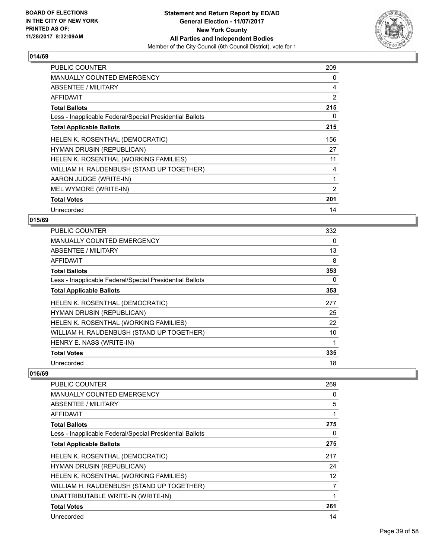

| <b>PUBLIC COUNTER</b>                                    | 209 |
|----------------------------------------------------------|-----|
| <b>MANUALLY COUNTED EMERGENCY</b>                        | 0   |
| ABSENTEE / MILITARY                                      | 4   |
| <b>AFFIDAVIT</b>                                         | 2   |
| <b>Total Ballots</b>                                     | 215 |
| Less - Inapplicable Federal/Special Presidential Ballots | 0   |
| <b>Total Applicable Ballots</b>                          | 215 |
| HELEN K. ROSENTHAL (DEMOCRATIC)                          | 156 |
| <b>HYMAN DRUSIN (REPUBLICAN)</b>                         | 27  |
| HELEN K. ROSENTHAL (WORKING FAMILIES)                    | 11  |
| WILLIAM H. RAUDENBUSH (STAND UP TOGETHER)                | 4   |
| AARON JUDGE (WRITE-IN)                                   | 1   |
| MEL WYMORE (WRITE-IN)                                    | 2   |
| <b>Total Votes</b>                                       | 201 |
| Unrecorded                                               | 14  |

#### **015/69**

| <b>PUBLIC COUNTER</b>                                    | 332 |
|----------------------------------------------------------|-----|
| <b>MANUALLY COUNTED EMERGENCY</b>                        | 0   |
| ABSENTEE / MILITARY                                      | 13  |
| AFFIDAVIT                                                | 8   |
| <b>Total Ballots</b>                                     | 353 |
| Less - Inapplicable Federal/Special Presidential Ballots | 0   |
| <b>Total Applicable Ballots</b>                          | 353 |
| HELEN K. ROSENTHAL (DEMOCRATIC)                          | 277 |
| HYMAN DRUSIN (REPUBLICAN)                                | 25  |
| HELEN K. ROSENTHAL (WORKING FAMILIES)                    | 22  |
| WILLIAM H. RAUDENBUSH (STAND UP TOGETHER)                | 10  |
| HENRY E. NASS (WRITE-IN)                                 |     |
| <b>Total Votes</b>                                       | 335 |
| Unrecorded                                               | 18  |

| <b>PUBLIC COUNTER</b>                                    | 269               |
|----------------------------------------------------------|-------------------|
| <b>MANUALLY COUNTED EMERGENCY</b>                        | 0                 |
| ABSENTEE / MILITARY                                      | 5                 |
| AFFIDAVIT                                                | 1                 |
| <b>Total Ballots</b>                                     | 275               |
| Less - Inapplicable Federal/Special Presidential Ballots | 0                 |
| <b>Total Applicable Ballots</b>                          | 275               |
| HELEN K. ROSENTHAL (DEMOCRATIC)                          | 217               |
| HYMAN DRUSIN (REPUBLICAN)                                | 24                |
| HELEN K. ROSENTHAL (WORKING FAMILIES)                    | $12 \overline{ }$ |
| WILLIAM H. RAUDENBUSH (STAND UP TOGETHER)                | 7                 |
| UNATTRIBUTABLE WRITE-IN (WRITE-IN)                       | 1                 |
| <b>Total Votes</b>                                       | 261               |
| Unrecorded                                               | 14                |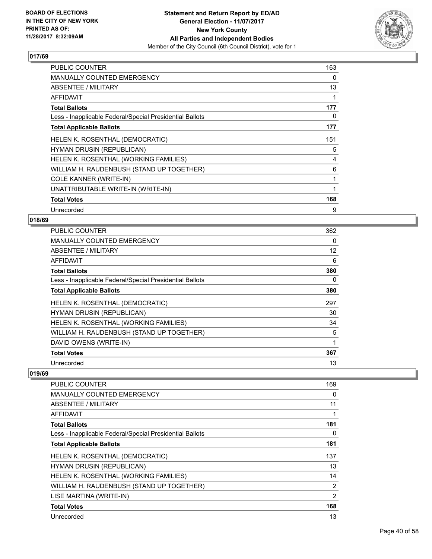

| <b>PUBLIC COUNTER</b>                                    | 163 |
|----------------------------------------------------------|-----|
| <b>MANUALLY COUNTED EMERGENCY</b>                        | 0   |
| ABSENTEE / MILITARY                                      | 13  |
| <b>AFFIDAVIT</b>                                         | 1   |
| <b>Total Ballots</b>                                     | 177 |
| Less - Inapplicable Federal/Special Presidential Ballots | 0   |
| <b>Total Applicable Ballots</b>                          | 177 |
| HELEN K. ROSENTHAL (DEMOCRATIC)                          | 151 |
| <b>HYMAN DRUSIN (REPUBLICAN)</b>                         | 5   |
| HELEN K. ROSENTHAL (WORKING FAMILIES)                    | 4   |
| WILLIAM H. RAUDENBUSH (STAND UP TOGETHER)                | 6   |
| COLE KANNER (WRITE-IN)                                   | 1   |
| UNATTRIBUTABLE WRITE-IN (WRITE-IN)                       | 1   |
| <b>Total Votes</b>                                       | 168 |
| Unrecorded                                               | 9   |

## **018/69**

| PUBLIC COUNTER                                           | 362               |
|----------------------------------------------------------|-------------------|
| <b>MANUALLY COUNTED EMERGENCY</b>                        | 0                 |
| ABSENTEE / MILITARY                                      | $12 \overline{ }$ |
| AFFIDAVIT                                                | 6                 |
| <b>Total Ballots</b>                                     | 380               |
| Less - Inapplicable Federal/Special Presidential Ballots | 0                 |
| <b>Total Applicable Ballots</b>                          | 380               |
| HELEN K. ROSENTHAL (DEMOCRATIC)                          | 297               |
| <b>HYMAN DRUSIN (REPUBLICAN)</b>                         | 30                |
| HELEN K. ROSENTHAL (WORKING FAMILIES)                    | 34                |
| WILLIAM H. RAUDENBUSH (STAND UP TOGETHER)                | 5                 |
| DAVID OWENS (WRITE-IN)                                   | 1                 |
| <b>Total Votes</b>                                       | 367               |
| Unrecorded                                               | 13                |

| PUBLIC COUNTER                                           | 169 |
|----------------------------------------------------------|-----|
| <b>MANUALLY COUNTED EMERGENCY</b>                        | 0   |
| ABSENTEE / MILITARY                                      | 11  |
| AFFIDAVIT                                                | 1   |
| <b>Total Ballots</b>                                     | 181 |
| Less - Inapplicable Federal/Special Presidential Ballots | 0   |
| <b>Total Applicable Ballots</b>                          | 181 |
| HELEN K. ROSENTHAL (DEMOCRATIC)                          | 137 |
| HYMAN DRUSIN (REPUBLICAN)                                | 13  |
| HELEN K. ROSENTHAL (WORKING FAMILIES)                    | 14  |
| WILLIAM H. RAUDENBUSH (STAND UP TOGETHER)                | 2   |
| LISE MARTINA (WRITE-IN)                                  | 2   |
| <b>Total Votes</b>                                       | 168 |
| Unrecorded                                               | 13  |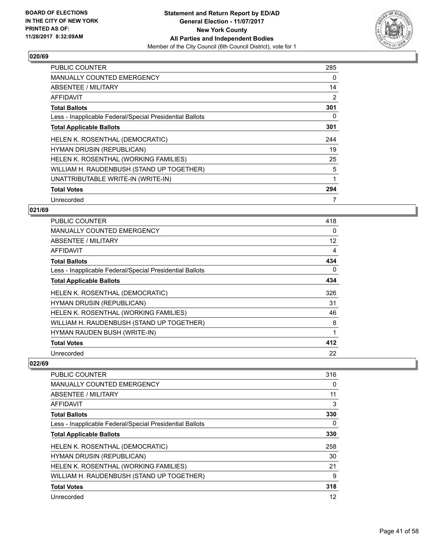

| <b>PUBLIC COUNTER</b>                                    | 285 |
|----------------------------------------------------------|-----|
| <b>MANUALLY COUNTED EMERGENCY</b>                        | 0   |
| ABSENTEE / MILITARY                                      | 14  |
| <b>AFFIDAVIT</b>                                         | 2   |
| <b>Total Ballots</b>                                     | 301 |
| Less - Inapplicable Federal/Special Presidential Ballots | 0   |
| <b>Total Applicable Ballots</b>                          | 301 |
| <b>HELEN K. ROSENTHAL (DEMOCRATIC)</b>                   | 244 |
|                                                          |     |
| <b>HYMAN DRUSIN (REPUBLICAN)</b>                         | 19  |
| HELEN K. ROSENTHAL (WORKING FAMILIES)                    | 25  |
| WILLIAM H. RAUDENBUSH (STAND UP TOGETHER)                | 5   |
| UNATTRIBUTABLE WRITE-IN (WRITE-IN)                       |     |
| <b>Total Votes</b>                                       | 294 |

#### **021/69**

| <b>PUBLIC COUNTER</b>                                    | 418 |
|----------------------------------------------------------|-----|
| MANUALLY COUNTED EMERGENCY                               | 0   |
| ABSENTEE / MILITARY                                      | 12  |
| AFFIDAVIT                                                | 4   |
| <b>Total Ballots</b>                                     | 434 |
| Less - Inapplicable Federal/Special Presidential Ballots | 0   |
| <b>Total Applicable Ballots</b>                          | 434 |
| HELEN K. ROSENTHAL (DEMOCRATIC)                          | 326 |
| HYMAN DRUSIN (REPUBLICAN)                                | 31  |
| HELEN K. ROSENTHAL (WORKING FAMILIES)                    | 46  |
| WILLIAM H. RAUDENBUSH (STAND UP TOGETHER)                | 8   |
| HYMAN RAUDEN BUSH (WRITE-IN)                             | 1   |
| <b>Total Votes</b>                                       | 412 |
| Unrecorded                                               | 22  |

| <b>PUBLIC COUNTER</b>                                    | 316 |
|----------------------------------------------------------|-----|
| <b>MANUALLY COUNTED EMERGENCY</b>                        | 0   |
| ABSENTEE / MILITARY                                      | 11  |
| AFFIDAVIT                                                | 3   |
| <b>Total Ballots</b>                                     | 330 |
| Less - Inapplicable Federal/Special Presidential Ballots | 0   |
| <b>Total Applicable Ballots</b>                          | 330 |
| HELEN K. ROSENTHAL (DEMOCRATIC)                          | 258 |
| <b>HYMAN DRUSIN (REPUBLICAN)</b>                         | 30  |
| HELEN K. ROSENTHAL (WORKING FAMILIES)                    | 21  |
| WILLIAM H. RAUDENBUSH (STAND UP TOGETHER)                | 9   |
| <b>Total Votes</b>                                       | 318 |
| Unrecorded                                               | 12  |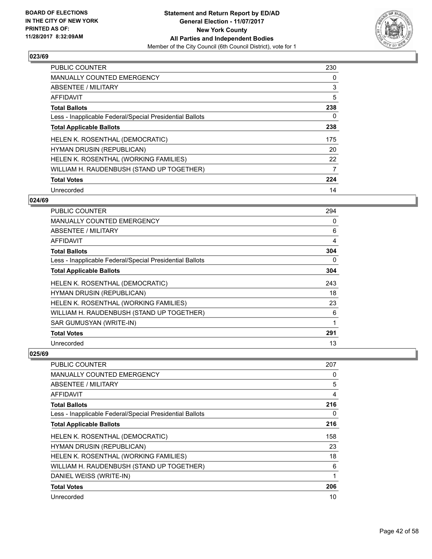

| <b>PUBLIC COUNTER</b>                                    | 230 |
|----------------------------------------------------------|-----|
| MANUALLY COUNTED EMERGENCY                               | 0   |
| ABSENTEE / MILITARY                                      | 3   |
| <b>AFFIDAVIT</b>                                         | 5   |
| <b>Total Ballots</b>                                     | 238 |
| Less - Inapplicable Federal/Special Presidential Ballots | 0   |
| <b>Total Applicable Ballots</b>                          | 238 |
| HELEN K. ROSENTHAL (DEMOCRATIC)                          | 175 |
| <b>HYMAN DRUSIN (REPUBLICAN)</b>                         | 20  |
| HELEN K. ROSENTHAL (WORKING FAMILIES)                    | 22  |
| WILLIAM H. RAUDENBUSH (STAND UP TOGETHER)                | 7   |
| <b>Total Votes</b>                                       | 224 |
| Unrecorded                                               | 14  |

## **024/69**

| PUBLIC COUNTER                                           | 294            |
|----------------------------------------------------------|----------------|
| <b>MANUALLY COUNTED EMERGENCY</b>                        | 0              |
| ABSENTEE / MILITARY                                      | 6              |
| <b>AFFIDAVIT</b>                                         | $\overline{4}$ |
| <b>Total Ballots</b>                                     | 304            |
| Less - Inapplicable Federal/Special Presidential Ballots | 0              |
| <b>Total Applicable Ballots</b>                          | 304            |
| HELEN K. ROSENTHAL (DEMOCRATIC)                          | 243            |
| HYMAN DRUSIN (REPUBLICAN)                                | 18             |
| HELEN K. ROSENTHAL (WORKING FAMILIES)                    | 23             |
| WILLIAM H. RAUDENBUSH (STAND UP TOGETHER)                | 6              |
| SAR GUMUSYAN (WRITE-IN)                                  | 1              |
| <b>Total Votes</b>                                       | 291            |
| Unrecorded                                               | 13             |

| <b>PUBLIC COUNTER</b>                                    | 207 |
|----------------------------------------------------------|-----|
| <b>MANUALLY COUNTED EMERGENCY</b>                        | 0   |
| ABSENTEE / MILITARY                                      | 5   |
| AFFIDAVIT                                                | 4   |
| <b>Total Ballots</b>                                     | 216 |
| Less - Inapplicable Federal/Special Presidential Ballots | 0   |
| <b>Total Applicable Ballots</b>                          | 216 |
| HELEN K. ROSENTHAL (DEMOCRATIC)                          | 158 |
| <b>HYMAN DRUSIN (REPUBLICAN)</b>                         | 23  |
| HELEN K. ROSENTHAL (WORKING FAMILIES)                    | 18  |
| WILLIAM H. RAUDENBUSH (STAND UP TOGETHER)                | 6   |
| DANIEL WEISS (WRITE-IN)                                  |     |
| <b>Total Votes</b>                                       | 206 |
| Unrecorded                                               | 10  |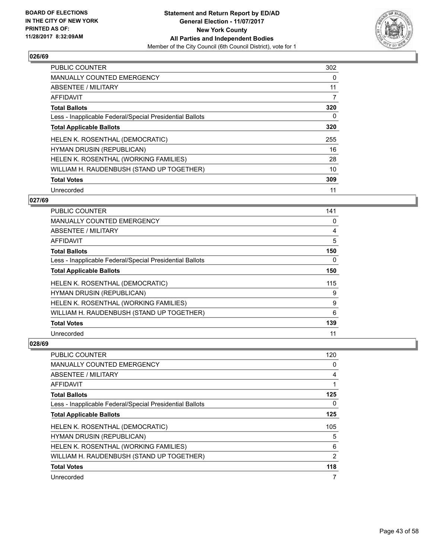

| <b>PUBLIC COUNTER</b>                                    | 302 |
|----------------------------------------------------------|-----|
| <b>MANUALLY COUNTED EMERGENCY</b>                        | 0   |
| ABSENTEE / MILITARY                                      | 11  |
| <b>AFFIDAVIT</b>                                         | 7   |
| <b>Total Ballots</b>                                     | 320 |
| Less - Inapplicable Federal/Special Presidential Ballots | 0   |
| <b>Total Applicable Ballots</b>                          | 320 |
| HELEN K. ROSENTHAL (DEMOCRATIC)                          | 255 |
| <b>HYMAN DRUSIN (REPUBLICAN)</b>                         | 16  |
| HELEN K. ROSENTHAL (WORKING FAMILIES)                    | 28  |
| WILLIAM H. RAUDENBUSH (STAND UP TOGETHER)                | 10  |
| <b>Total Votes</b>                                       | 309 |
| Unrecorded                                               | 11  |

## **027/69**

| <b>PUBLIC COUNTER</b>                                    | 141 |
|----------------------------------------------------------|-----|
| <b>MANUALLY COUNTED EMERGENCY</b>                        | 0   |
| ABSENTEE / MILITARY                                      | 4   |
| AFFIDAVIT                                                | 5   |
| <b>Total Ballots</b>                                     | 150 |
| Less - Inapplicable Federal/Special Presidential Ballots | 0   |
| <b>Total Applicable Ballots</b>                          | 150 |
| HELEN K. ROSENTHAL (DEMOCRATIC)                          | 115 |
| HYMAN DRUSIN (REPUBLICAN)                                | 9   |
| HELEN K. ROSENTHAL (WORKING FAMILIES)                    | 9   |
| WILLIAM H. RAUDENBUSH (STAND UP TOGETHER)                | 6   |
| <b>Total Votes</b>                                       | 139 |
| Unrecorded                                               | 11  |

| <b>PUBLIC COUNTER</b>                                    | 120            |
|----------------------------------------------------------|----------------|
| <b>MANUALLY COUNTED EMERGENCY</b>                        | 0              |
| ABSENTEE / MILITARY                                      | 4              |
| AFFIDAVIT                                                |                |
| <b>Total Ballots</b>                                     | 125            |
| Less - Inapplicable Federal/Special Presidential Ballots | 0              |
| <b>Total Applicable Ballots</b>                          | 125            |
| HELEN K. ROSENTHAL (DEMOCRATIC)                          | 105            |
| <b>HYMAN DRUSIN (REPUBLICAN)</b>                         | 5              |
| HELEN K. ROSENTHAL (WORKING FAMILIES)                    | 6              |
| WILLIAM H. RAUDENBUSH (STAND UP TOGETHER)                | $\overline{2}$ |
| <b>Total Votes</b>                                       | 118            |
| Unrecorded                                               | 7              |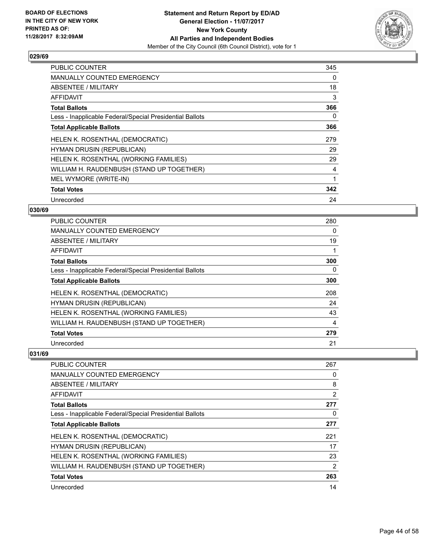

| <b>PUBLIC COUNTER</b>                                    | 345 |
|----------------------------------------------------------|-----|
| <b>MANUALLY COUNTED EMERGENCY</b>                        | 0   |
| ABSENTEE / MILITARY                                      | 18  |
| <b>AFFIDAVIT</b>                                         | 3   |
| <b>Total Ballots</b>                                     | 366 |
| Less - Inapplicable Federal/Special Presidential Ballots | 0   |
| <b>Total Applicable Ballots</b>                          | 366 |
| HELEN K. ROSENTHAL (DEMOCRATIC)                          | 279 |
| HYMAN DRUSIN (REPUBLICAN)                                | 29  |
| HELEN K. ROSENTHAL (WORKING FAMILIES)                    | 29  |
| WILLIAM H. RAUDENBUSH (STAND UP TOGETHER)                | 4   |
| MEL WYMORE (WRITE-IN)                                    |     |
| <b>Total Votes</b>                                       | 342 |
|                                                          |     |

## **030/69**

| PUBLIC COUNTER                                           | 280 |
|----------------------------------------------------------|-----|
| <b>MANUALLY COUNTED EMERGENCY</b>                        | 0   |
| ABSENTEE / MILITARY                                      | 19  |
| AFFIDAVIT                                                |     |
| <b>Total Ballots</b>                                     | 300 |
| Less - Inapplicable Federal/Special Presidential Ballots | 0   |
| <b>Total Applicable Ballots</b>                          | 300 |
| HELEN K. ROSENTHAL (DEMOCRATIC)                          | 208 |
| <b>HYMAN DRUSIN (REPUBLICAN)</b>                         | 24  |
| HELEN K. ROSENTHAL (WORKING FAMILIES)                    | 43  |
| WILLIAM H. RAUDENBUSH (STAND UP TOGETHER)                | 4   |
| <b>Total Votes</b>                                       | 279 |
| Unrecorded                                               | 21  |

| <b>PUBLIC COUNTER</b>                                    | 267 |
|----------------------------------------------------------|-----|
| <b>MANUALLY COUNTED EMERGENCY</b>                        | 0   |
| ABSENTEE / MILITARY                                      | 8   |
| AFFIDAVIT                                                | 2   |
| <b>Total Ballots</b>                                     | 277 |
| Less - Inapplicable Federal/Special Presidential Ballots | 0   |
| <b>Total Applicable Ballots</b>                          | 277 |
| HELEN K. ROSENTHAL (DEMOCRATIC)                          | 221 |
| <b>HYMAN DRUSIN (REPUBLICAN)</b>                         | 17  |
| HELEN K. ROSENTHAL (WORKING FAMILIES)                    | 23  |
| WILLIAM H. RAUDENBUSH (STAND UP TOGETHER)                | 2   |
| <b>Total Votes</b>                                       | 263 |
| Unrecorded                                               | 14  |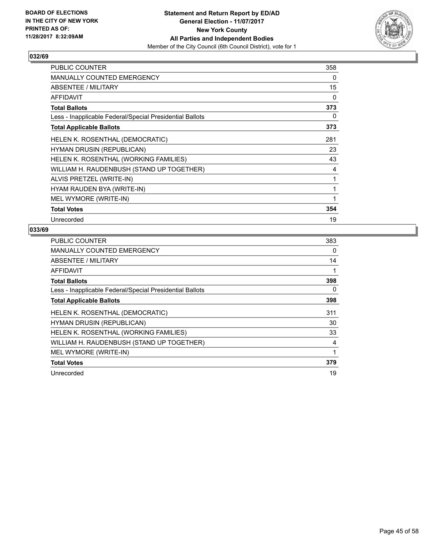

| PUBLIC COUNTER                                           | 358 |
|----------------------------------------------------------|-----|
| <b>MANUALLY COUNTED EMERGENCY</b>                        | 0   |
| ABSENTEE / MILITARY                                      | 15  |
| AFFIDAVIT                                                | 0   |
| <b>Total Ballots</b>                                     | 373 |
| Less - Inapplicable Federal/Special Presidential Ballots | 0   |
| <b>Total Applicable Ballots</b>                          | 373 |
| HELEN K. ROSENTHAL (DEMOCRATIC)                          | 281 |
| HYMAN DRUSIN (REPUBLICAN)                                | 23  |
| HELEN K. ROSENTHAL (WORKING FAMILIES)                    | 43  |
| WILLIAM H. RAUDENBUSH (STAND UP TOGETHER)                | 4   |
| ALVIS PRETZEL (WRITE-IN)                                 | 1   |
| HYAM RAUDEN BYA (WRITE-IN)                               | 1   |
| MEL WYMORE (WRITE-IN)                                    | 1   |
| <b>Total Votes</b>                                       | 354 |
| Unrecorded                                               | 19  |

| <b>PUBLIC COUNTER</b>                                    | 383 |
|----------------------------------------------------------|-----|
| <b>MANUALLY COUNTED EMERGENCY</b>                        | 0   |
| ABSENTEE / MILITARY                                      | 14  |
| AFFIDAVIT                                                | 1   |
| <b>Total Ballots</b>                                     | 398 |
| Less - Inapplicable Federal/Special Presidential Ballots | 0   |
| <b>Total Applicable Ballots</b>                          | 398 |
| HELEN K. ROSENTHAL (DEMOCRATIC)                          | 311 |
| <b>HYMAN DRUSIN (REPUBLICAN)</b>                         | 30  |
| HELEN K. ROSENTHAL (WORKING FAMILIES)                    | 33  |
| WILLIAM H. RAUDENBUSH (STAND UP TOGETHER)                | 4   |
| MEL WYMORE (WRITE-IN)                                    | 1   |
| <b>Total Votes</b>                                       | 379 |
| Unrecorded                                               | 19  |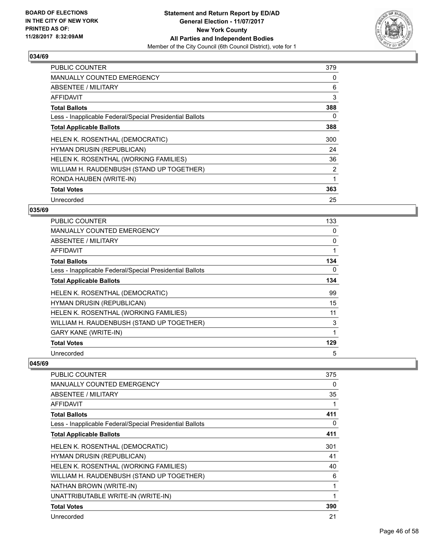

| <b>PUBLIC COUNTER</b>                                    | 379            |
|----------------------------------------------------------|----------------|
| <b>MANUALLY COUNTED EMERGENCY</b>                        | 0              |
| <b>ABSENTEE / MILITARY</b>                               | 6              |
| AFFIDAVIT                                                | 3              |
| <b>Total Ballots</b>                                     | 388            |
| Less - Inapplicable Federal/Special Presidential Ballots | 0              |
| <b>Total Applicable Ballots</b>                          | 388            |
| <b>HELEN K. ROSENTHAL (DEMOCRATIC)</b>                   | 300            |
| HYMAN DRUSIN (REPUBLICAN)                                | 24             |
| HELEN K. ROSENTHAL (WORKING FAMILIES)                    | 36             |
| WILLIAM H. RAUDENBUSH (STAND UP TOGETHER)                | $\overline{2}$ |
| RONDA HAUBEN (WRITE-IN)                                  | 1              |
| <b>Total Votes</b>                                       | 363            |
| Unrecorded                                               | 25             |

## **035/69**

| <b>PUBLIC COUNTER</b>                                    | 133 |
|----------------------------------------------------------|-----|
| <b>MANUALLY COUNTED EMERGENCY</b>                        | 0   |
| ABSENTEE / MILITARY                                      | 0   |
| AFFIDAVIT                                                | 1   |
| <b>Total Ballots</b>                                     | 134 |
| Less - Inapplicable Federal/Special Presidential Ballots | 0   |
| <b>Total Applicable Ballots</b>                          | 134 |
| HELEN K. ROSENTHAL (DEMOCRATIC)                          | 99  |
| <b>HYMAN DRUSIN (REPUBLICAN)</b>                         | 15  |
| HELEN K. ROSENTHAL (WORKING FAMILIES)                    | 11  |
| WILLIAM H. RAUDENBUSH (STAND UP TOGETHER)                | 3   |
| <b>GARY KANE (WRITE-IN)</b>                              | 1   |
| <b>Total Votes</b>                                       | 129 |
| Unrecorded                                               | 5   |

| PUBLIC COUNTER                                           | 375 |
|----------------------------------------------------------|-----|
| <b>MANUALLY COUNTED EMERGENCY</b>                        | 0   |
| ABSENTEE / MILITARY                                      | 35  |
| <b>AFFIDAVIT</b>                                         | 1   |
| <b>Total Ballots</b>                                     | 411 |
| Less - Inapplicable Federal/Special Presidential Ballots | 0   |
| <b>Total Applicable Ballots</b>                          | 411 |
| HELEN K. ROSENTHAL (DEMOCRATIC)                          | 301 |
| <b>HYMAN DRUSIN (REPUBLICAN)</b>                         | 41  |
| HELEN K. ROSENTHAL (WORKING FAMILIES)                    | 40  |
| WILLIAM H. RAUDENBUSH (STAND UP TOGETHER)                | 6   |
| NATHAN BROWN (WRITE-IN)                                  | 1   |
| UNATTRIBUTABLE WRITE-IN (WRITE-IN)                       | 1   |
| <b>Total Votes</b>                                       | 390 |
| Unrecorded                                               | 21  |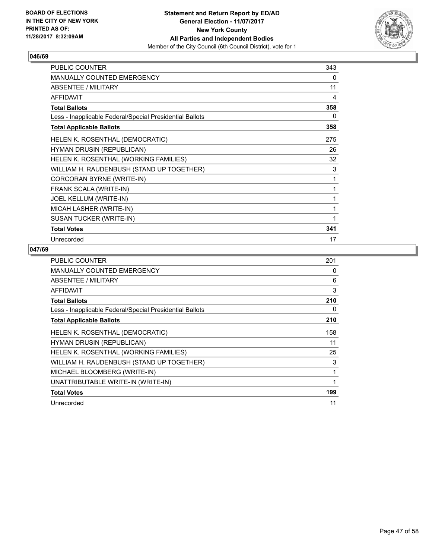

| <b>PUBLIC COUNTER</b>                                    | 343 |
|----------------------------------------------------------|-----|
| MANUALLY COUNTED EMERGENCY                               | 0   |
| ABSENTEE / MILITARY                                      | 11  |
| <b>AFFIDAVIT</b>                                         | 4   |
| <b>Total Ballots</b>                                     | 358 |
| Less - Inapplicable Federal/Special Presidential Ballots | 0   |
| <b>Total Applicable Ballots</b>                          | 358 |
| HELEN K. ROSENTHAL (DEMOCRATIC)                          | 275 |
| HYMAN DRUSIN (REPUBLICAN)                                | 26  |
| HELEN K. ROSENTHAL (WORKING FAMILIES)                    | 32  |
| WILLIAM H. RAUDENBUSH (STAND UP TOGETHER)                | 3   |
| CORCORAN BYRNE (WRITE-IN)                                | 1   |
| FRANK SCALA (WRITE-IN)                                   | 1   |
| JOEL KELLUM (WRITE-IN)                                   | 1   |
| MICAH LASHER (WRITE-IN)                                  | 1   |
| SUSAN TUCKER (WRITE-IN)                                  | 1   |
| <b>Total Votes</b>                                       | 341 |
| Unrecorded                                               | 17  |

| <b>PUBLIC COUNTER</b>                                    | 201 |
|----------------------------------------------------------|-----|
| <b>MANUALLY COUNTED EMERGENCY</b>                        | 0   |
| ABSENTEE / MILITARY                                      | 6   |
| AFFIDAVIT                                                | 3   |
| <b>Total Ballots</b>                                     | 210 |
| Less - Inapplicable Federal/Special Presidential Ballots | 0   |
| <b>Total Applicable Ballots</b>                          | 210 |
| HELEN K. ROSENTHAL (DEMOCRATIC)                          | 158 |
| <b>HYMAN DRUSIN (REPUBLICAN)</b>                         | 11  |
| HELEN K. ROSENTHAL (WORKING FAMILIES)                    | 25  |
| WILLIAM H. RAUDENBUSH (STAND UP TOGETHER)                | 3   |
| MICHAEL BLOOMBERG (WRITE-IN)                             | 1   |
| UNATTRIBUTABLE WRITE-IN (WRITE-IN)                       | 1   |
| <b>Total Votes</b>                                       | 199 |
| Unrecorded                                               | 11  |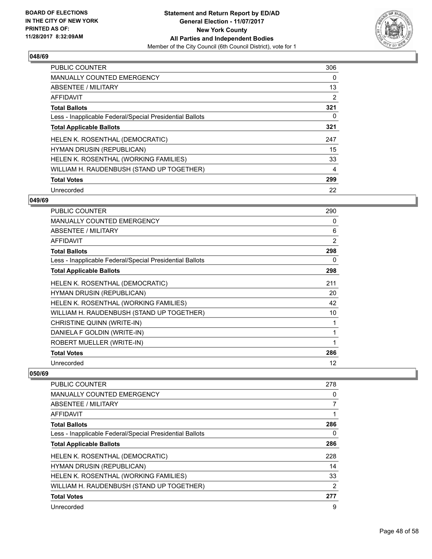

| PUBLIC COUNTER                                           | 306 |
|----------------------------------------------------------|-----|
| <b>MANUALLY COUNTED EMERGENCY</b>                        | 0   |
| ABSENTEE / MILITARY                                      | 13  |
| <b>AFFIDAVIT</b>                                         | 2   |
| <b>Total Ballots</b>                                     | 321 |
| Less - Inapplicable Federal/Special Presidential Ballots | 0   |
| <b>Total Applicable Ballots</b>                          | 321 |
| HELEN K. ROSENTHAL (DEMOCRATIC)                          | 247 |
| <b>HYMAN DRUSIN (REPUBLICAN)</b>                         | 15  |
| HELEN K. ROSENTHAL (WORKING FAMILIES)                    | 33  |
| WILLIAM H. RAUDENBUSH (STAND UP TOGETHER)                | 4   |
| <b>Total Votes</b>                                       | 299 |
| Unrecorded                                               | 22  |

## **049/69**

| <b>PUBLIC COUNTER</b>                                    | 290            |
|----------------------------------------------------------|----------------|
| <b>MANUALLY COUNTED EMERGENCY</b>                        | 0              |
| ABSENTEE / MILITARY                                      | 6              |
| <b>AFFIDAVIT</b>                                         | $\overline{2}$ |
| <b>Total Ballots</b>                                     | 298            |
| Less - Inapplicable Federal/Special Presidential Ballots | 0              |
| <b>Total Applicable Ballots</b>                          | 298            |
| HELEN K. ROSENTHAL (DEMOCRATIC)                          | 211            |
| <b>HYMAN DRUSIN (REPUBLICAN)</b>                         | 20             |
| HELEN K. ROSENTHAL (WORKING FAMILIES)                    | 42             |
| WILLIAM H. RAUDENBUSH (STAND UP TOGETHER)                | 10             |
| CHRISTINE QUINN (WRITE-IN)                               | 1              |
| DANIELA F GOLDIN (WRITE-IN)                              | 1              |
| ROBERT MUELLER (WRITE-IN)                                | 1              |
| <b>Total Votes</b>                                       | 286            |
| Unrecorded                                               | 12             |

| <b>PUBLIC COUNTER</b>                                    | 278 |
|----------------------------------------------------------|-----|
| <b>MANUALLY COUNTED EMERGENCY</b>                        | 0   |
| ABSENTEE / MILITARY                                      | 7   |
| AFFIDAVIT                                                |     |
| <b>Total Ballots</b>                                     | 286 |
| Less - Inapplicable Federal/Special Presidential Ballots | 0   |
| <b>Total Applicable Ballots</b>                          | 286 |
| HELEN K. ROSENTHAL (DEMOCRATIC)                          | 228 |
| <b>HYMAN DRUSIN (REPUBLICAN)</b>                         | 14  |
| HELEN K. ROSENTHAL (WORKING FAMILIES)                    | 33  |
| WILLIAM H. RAUDENBUSH (STAND UP TOGETHER)                | 2   |
| <b>Total Votes</b>                                       | 277 |
| Unrecorded                                               | 9   |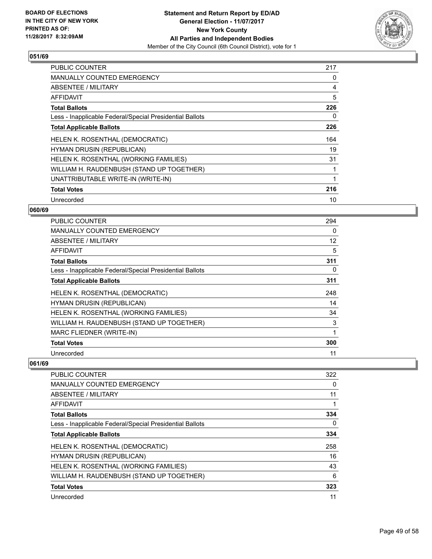

| <b>PUBLIC COUNTER</b>                                    | 217 |
|----------------------------------------------------------|-----|
| <b>MANUALLY COUNTED EMERGENCY</b>                        | 0   |
| ABSENTEE / MILITARY                                      | 4   |
| <b>AFFIDAVIT</b>                                         | 5   |
| <b>Total Ballots</b>                                     | 226 |
| Less - Inapplicable Federal/Special Presidential Ballots | 0   |
| <b>Total Applicable Ballots</b>                          | 226 |
| HELEN K. ROSENTHAL (DEMOCRATIC)                          | 164 |
| HYMAN DRUSIN (REPUBLICAN)                                | 19  |
| HELEN K. ROSENTHAL (WORKING FAMILIES)                    | 31  |
| WILLIAM H. RAUDENBUSH (STAND UP TOGETHER)                | 1   |
| UNATTRIBUTABLE WRITE-IN (WRITE-IN)                       |     |
| <b>Total Votes</b>                                       | 216 |
| Unrecorded                                               | 10  |

## **060/69**

| <b>PUBLIC COUNTER</b>                                    | 294 |
|----------------------------------------------------------|-----|
| <b>MANUALLY COUNTED EMERGENCY</b>                        | 0   |
| ABSENTEE / MILITARY                                      | 12  |
| AFFIDAVIT                                                | 5   |
| <b>Total Ballots</b>                                     | 311 |
| Less - Inapplicable Federal/Special Presidential Ballots | 0   |
| <b>Total Applicable Ballots</b>                          | 311 |
| HELEN K. ROSENTHAL (DEMOCRATIC)                          | 248 |
| HYMAN DRUSIN (REPUBLICAN)                                | 14  |
| HELEN K. ROSENTHAL (WORKING FAMILIES)                    | 34  |
| WILLIAM H. RAUDENBUSH (STAND UP TOGETHER)                | 3   |
| MARC FLIEDNER (WRITE-IN)                                 | 1   |
| <b>Total Votes</b>                                       | 300 |
| Unrecorded                                               | 11  |

| <b>PUBLIC COUNTER</b>                                    | 322 |
|----------------------------------------------------------|-----|
| <b>MANUALLY COUNTED EMERGENCY</b>                        | 0   |
| ABSENTEE / MILITARY                                      | 11  |
| <b>AFFIDAVIT</b>                                         |     |
| <b>Total Ballots</b>                                     | 334 |
| Less - Inapplicable Federal/Special Presidential Ballots | 0   |
| <b>Total Applicable Ballots</b>                          | 334 |
| <b>HELEN K. ROSENTHAL (DEMOCRATIC)</b>                   | 258 |
| <b>HYMAN DRUSIN (REPUBLICAN)</b>                         | 16  |
| HELEN K. ROSENTHAL (WORKING FAMILIES)                    | 43  |
| WILLIAM H. RAUDENBUSH (STAND UP TOGETHER)                | 6   |
| <b>Total Votes</b>                                       | 323 |
| Unrecorded                                               | 11  |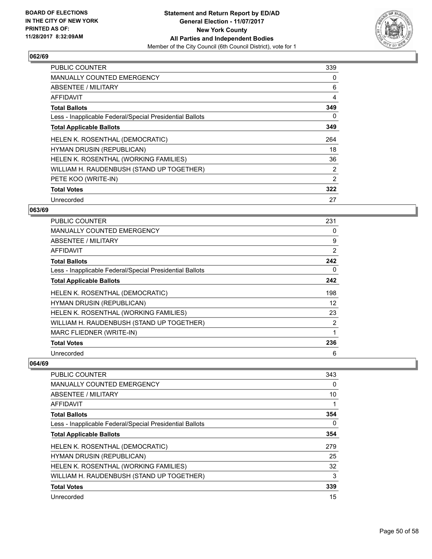

| <b>PUBLIC COUNTER</b>                                    | 339            |
|----------------------------------------------------------|----------------|
| <b>MANUALLY COUNTED EMERGENCY</b>                        | 0              |
| ABSENTEE / MILITARY                                      | 6              |
| <b>AFFIDAVIT</b>                                         | 4              |
| <b>Total Ballots</b>                                     | 349            |
| Less - Inapplicable Federal/Special Presidential Ballots | 0              |
| <b>Total Applicable Ballots</b>                          | 349            |
| HELEN K. ROSENTHAL (DEMOCRATIC)                          | 264            |
| HYMAN DRUSIN (REPUBLICAN)                                | 18             |
| HELEN K. ROSENTHAL (WORKING FAMILIES)                    | 36             |
| WILLIAM H. RAUDENBUSH (STAND UP TOGETHER)                | $\overline{2}$ |
| PETE KOO (WRITE-IN)                                      | 2              |
| <b>Total Votes</b>                                       | 322            |
| Unrecorded                                               | 27             |

#### **063/69**

| <b>PUBLIC COUNTER</b>                                    | 231            |
|----------------------------------------------------------|----------------|
| MANUALLY COUNTED EMERGENCY                               | 0              |
| ABSENTEE / MILITARY                                      | 9              |
| AFFIDAVIT                                                | 2              |
| <b>Total Ballots</b>                                     | 242            |
| Less - Inapplicable Federal/Special Presidential Ballots | 0              |
| <b>Total Applicable Ballots</b>                          | 242            |
| HELEN K. ROSENTHAL (DEMOCRATIC)                          | 198            |
| HYMAN DRUSIN (REPUBLICAN)                                | 12             |
| HELEN K. ROSENTHAL (WORKING FAMILIES)                    | 23             |
| WILLIAM H. RAUDENBUSH (STAND UP TOGETHER)                | $\overline{2}$ |
| MARC FLIEDNER (WRITE-IN)                                 | 1              |
| <b>Total Votes</b>                                       | 236            |
| Unrecorded                                               | 6              |

| <b>PUBLIC COUNTER</b>                                    | 343 |
|----------------------------------------------------------|-----|
| <b>MANUALLY COUNTED EMERGENCY</b>                        | 0   |
| ABSENTEE / MILITARY                                      | 10  |
| AFFIDAVIT                                                |     |
| <b>Total Ballots</b>                                     | 354 |
| Less - Inapplicable Federal/Special Presidential Ballots | 0   |
| <b>Total Applicable Ballots</b>                          | 354 |
| HELEN K. ROSENTHAL (DEMOCRATIC)                          | 279 |
| <b>HYMAN DRUSIN (REPUBLICAN)</b>                         | 25  |
| HELEN K. ROSENTHAL (WORKING FAMILIES)                    | 32  |
| WILLIAM H. RAUDENBUSH (STAND UP TOGETHER)                | 3   |
| <b>Total Votes</b>                                       | 339 |
| Unrecorded                                               | 15  |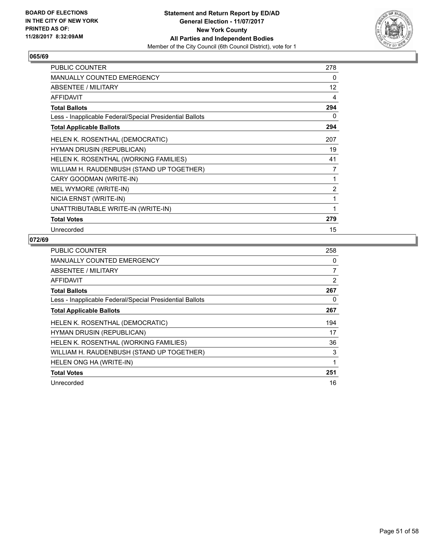

| <b>PUBLIC COUNTER</b>                                    | 278            |
|----------------------------------------------------------|----------------|
| <b>MANUALLY COUNTED EMERGENCY</b>                        | 0              |
| <b>ABSENTEE / MILITARY</b>                               | 12             |
| AFFIDAVIT                                                | 4              |
| <b>Total Ballots</b>                                     | 294            |
| Less - Inapplicable Federal/Special Presidential Ballots | 0              |
| <b>Total Applicable Ballots</b>                          | 294            |
| HELEN K. ROSENTHAL (DEMOCRATIC)                          | 207            |
| <b>HYMAN DRUSIN (REPUBLICAN)</b>                         | 19             |
| HELEN K. ROSENTHAL (WORKING FAMILIES)                    | 41             |
| WILLIAM H. RAUDENBUSH (STAND UP TOGETHER)                | $\overline{7}$ |
| CARY GOODMAN (WRITE-IN)                                  | 1              |
| MEL WYMORE (WRITE-IN)                                    | $\overline{2}$ |
| NICIA ERNST (WRITE-IN)                                   | 1              |
| UNATTRIBUTABLE WRITE-IN (WRITE-IN)                       | 1              |
| <b>Total Votes</b>                                       | 279            |
| Unrecorded                                               | 15             |

| <b>PUBLIC COUNTER</b>                                    | 258            |
|----------------------------------------------------------|----------------|
| <b>MANUALLY COUNTED EMERGENCY</b>                        | 0              |
| ABSENTEE / MILITARY                                      | 7              |
| AFFIDAVIT                                                | $\overline{2}$ |
| <b>Total Ballots</b>                                     | 267            |
| Less - Inapplicable Federal/Special Presidential Ballots | 0              |
| <b>Total Applicable Ballots</b>                          | 267            |
| HELEN K. ROSENTHAL (DEMOCRATIC)                          | 194            |
| <b>HYMAN DRUSIN (REPUBLICAN)</b>                         | 17             |
| HELEN K. ROSENTHAL (WORKING FAMILIES)                    | 36             |
| WILLIAM H. RAUDENBUSH (STAND UP TOGETHER)                | 3              |
| HELEN ONG HA (WRITE-IN)                                  | 1              |
| <b>Total Votes</b>                                       | 251            |
| Unrecorded                                               | 16             |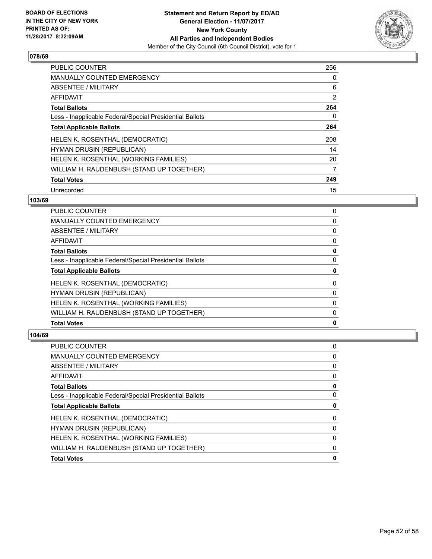

| <b>PUBLIC COUNTER</b>                                    | 256 |
|----------------------------------------------------------|-----|
| <b>MANUALLY COUNTED EMERGENCY</b>                        | 0   |
| ABSENTEE / MILITARY                                      | 6   |
| <b>AFFIDAVIT</b>                                         | 2   |
| <b>Total Ballots</b>                                     | 264 |
| Less - Inapplicable Federal/Special Presidential Ballots | 0   |
| <b>Total Applicable Ballots</b>                          | 264 |
| HELEN K. ROSENTHAL (DEMOCRATIC)                          | 208 |
| <b>HYMAN DRUSIN (REPUBLICAN)</b>                         | 14  |
| HELEN K. ROSENTHAL (WORKING FAMILIES)                    | 20  |
| WILLIAM H. RAUDENBUSH (STAND UP TOGETHER)                | 7   |
| <b>Total Votes</b>                                       | 249 |
| Unrecorded                                               | 15  |

## **103/69**

| PUBLIC COUNTER                                           | 0 |
|----------------------------------------------------------|---|
|                                                          |   |
| <b>MANUALLY COUNTED EMERGENCY</b>                        | 0 |
| <b>ABSENTEE / MILITARY</b>                               | 0 |
| AFFIDAVIT                                                | 0 |
| <b>Total Ballots</b>                                     | 0 |
| Less - Inapplicable Federal/Special Presidential Ballots | 0 |
| <b>Total Applicable Ballots</b>                          | 0 |
| HELEN K. ROSENTHAL (DEMOCRATIC)                          | 0 |
| HYMAN DRUSIN (REPUBLICAN)                                | 0 |
| HELEN K. ROSENTHAL (WORKING FAMILIES)                    | 0 |
| WILLIAM H. RAUDENBUSH (STAND UP TOGETHER)                | 0 |
| <b>Total Votes</b>                                       | 0 |

| PUBLIC COUNTER                                           | 0 |
|----------------------------------------------------------|---|
| <b>MANUALLY COUNTED EMERGENCY</b>                        | 0 |
| <b>ABSENTEE / MILITARY</b>                               | 0 |
| <b>AFFIDAVIT</b>                                         | 0 |
| <b>Total Ballots</b>                                     | 0 |
| Less - Inapplicable Federal/Special Presidential Ballots | 0 |
| <b>Total Applicable Ballots</b>                          | 0 |
| HELEN K. ROSENTHAL (DEMOCRATIC)                          | 0 |
| <b>HYMAN DRUSIN (REPUBLICAN)</b>                         | 0 |
| HELEN K. ROSENTHAL (WORKING FAMILIES)                    | 0 |
| WILLIAM H. RAUDENBUSH (STAND UP TOGETHER)                | 0 |
| <b>Total Votes</b>                                       | 0 |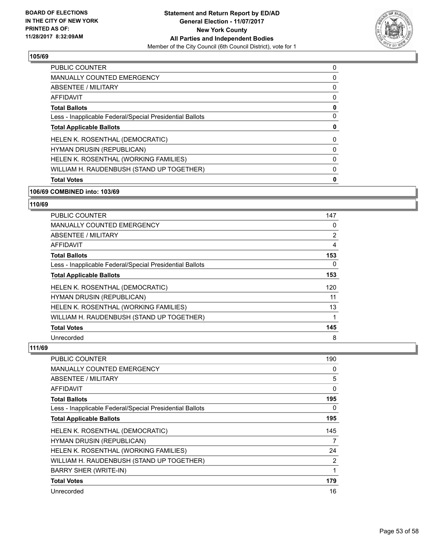

| <b>PUBLIC COUNTER</b>                                    | 0 |
|----------------------------------------------------------|---|
| <b>MANUALLY COUNTED EMERGENCY</b>                        | 0 |
| ABSENTEE / MILITARY                                      | 0 |
| <b>AFFIDAVIT</b>                                         | 0 |
| <b>Total Ballots</b>                                     | 0 |
| Less - Inapplicable Federal/Special Presidential Ballots | 0 |
| <b>Total Applicable Ballots</b>                          | 0 |
| HELEN K. ROSENTHAL (DEMOCRATIC)                          | 0 |
| <b>HYMAN DRUSIN (REPUBLICAN)</b>                         | 0 |
| HELEN K. ROSENTHAL (WORKING FAMILIES)                    | 0 |
| WILLIAM H. RAUDENBUSH (STAND UP TOGETHER)                | 0 |
| <b>Total Votes</b>                                       | 0 |

#### **106/69 COMBINED into: 103/69**

#### **110/69**

| <b>PUBLIC COUNTER</b>                                    | 147 |
|----------------------------------------------------------|-----|
| <b>MANUALLY COUNTED EMERGENCY</b>                        | 0   |
| ABSENTEE / MILITARY                                      | 2   |
| <b>AFFIDAVIT</b>                                         | 4   |
| <b>Total Ballots</b>                                     | 153 |
| Less - Inapplicable Federal/Special Presidential Ballots | 0   |
| <b>Total Applicable Ballots</b>                          | 153 |
| HELEN K. ROSENTHAL (DEMOCRATIC)                          | 120 |
| <b>HYMAN DRUSIN (REPUBLICAN)</b>                         | 11  |
| HELEN K. ROSENTHAL (WORKING FAMILIES)                    | 13  |
| WILLIAM H. RAUDENBUSH (STAND UP TOGETHER)                |     |
| <b>Total Votes</b>                                       | 145 |
| Unrecorded                                               | 8   |

| <b>PUBLIC COUNTER</b>                                    | 190 |
|----------------------------------------------------------|-----|
| <b>MANUALLY COUNTED EMERGENCY</b>                        | 0   |
| <b>ABSENTEE / MILITARY</b>                               | 5   |
| AFFIDAVIT                                                | 0   |
| <b>Total Ballots</b>                                     | 195 |
| Less - Inapplicable Federal/Special Presidential Ballots | 0   |
| <b>Total Applicable Ballots</b>                          | 195 |
| HELEN K. ROSENTHAL (DEMOCRATIC)                          | 145 |
| <b>HYMAN DRUSIN (REPUBLICAN)</b>                         | 7   |
| HELEN K. ROSENTHAL (WORKING FAMILIES)                    | 24  |
| WILLIAM H. RAUDENBUSH (STAND UP TOGETHER)                | 2   |
| <b>BARRY SHER (WRITE-IN)</b>                             | 1   |
| <b>Total Votes</b>                                       | 179 |
| Unrecorded                                               | 16  |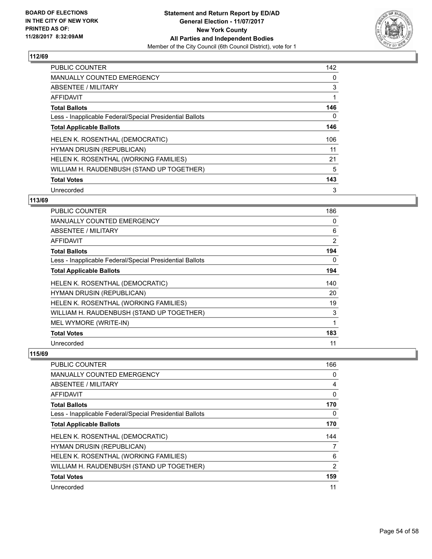

| <b>PUBLIC COUNTER</b>                                    | 142 |
|----------------------------------------------------------|-----|
| <b>MANUALLY COUNTED EMERGENCY</b>                        | 0   |
| ABSENTEE / MILITARY                                      | 3   |
| AFFIDAVIT                                                |     |
| <b>Total Ballots</b>                                     | 146 |
| Less - Inapplicable Federal/Special Presidential Ballots | 0   |
| <b>Total Applicable Ballots</b>                          | 146 |
| HELEN K. ROSENTHAL (DEMOCRATIC)                          | 106 |
| <b>HYMAN DRUSIN (REPUBLICAN)</b>                         | 11  |
| HELEN K. ROSENTHAL (WORKING FAMILIES)                    | 21  |
| WILLIAM H. RAUDENBUSH (STAND UP TOGETHER)                | 5   |
| <b>Total Votes</b>                                       | 143 |
| Unrecorded                                               | 3   |

## **113/69**

| <b>PUBLIC COUNTER</b>                                    | 186            |
|----------------------------------------------------------|----------------|
| <b>MANUALLY COUNTED EMERGENCY</b>                        | 0              |
| ABSENTEE / MILITARY                                      | 6              |
| <b>AFFIDAVIT</b>                                         | $\overline{2}$ |
| <b>Total Ballots</b>                                     | 194            |
| Less - Inapplicable Federal/Special Presidential Ballots | 0              |
| <b>Total Applicable Ballots</b>                          | 194            |
| HELEN K. ROSENTHAL (DEMOCRATIC)                          | 140            |
| HYMAN DRUSIN (REPUBLICAN)                                | 20             |
| HELEN K. ROSENTHAL (WORKING FAMILIES)                    | 19             |
| WILLIAM H. RAUDENBUSH (STAND UP TOGETHER)                | 3              |
| MEL WYMORE (WRITE-IN)                                    | 1              |
| <b>Total Votes</b>                                       | 183            |
| Unrecorded                                               | 11             |

| PUBLIC COUNTER                                           | 166 |
|----------------------------------------------------------|-----|
| <b>MANUALLY COUNTED EMERGENCY</b>                        | 0   |
| ABSENTEE / MILITARY                                      | 4   |
| AFFIDAVIT                                                | 0   |
| <b>Total Ballots</b>                                     | 170 |
| Less - Inapplicable Federal/Special Presidential Ballots | 0   |
| <b>Total Applicable Ballots</b>                          | 170 |
| HELEN K. ROSENTHAL (DEMOCRATIC)                          | 144 |
| HYMAN DRUSIN (REPUBLICAN)                                | 7   |
| HELEN K. ROSENTHAL (WORKING FAMILIES)                    | 6   |
| WILLIAM H. RAUDENBUSH (STAND UP TOGETHER)                | 2   |
| <b>Total Votes</b>                                       | 159 |
| Unrecorded                                               | 11  |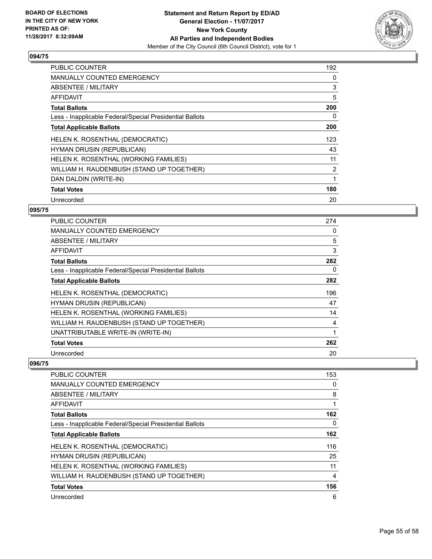

| <b>PUBLIC COUNTER</b>                                    | 192            |
|----------------------------------------------------------|----------------|
| <b>MANUALLY COUNTED EMERGENCY</b>                        | 0              |
| ABSENTEE / MILITARY                                      | 3              |
| <b>AFFIDAVIT</b>                                         | 5              |
| <b>Total Ballots</b>                                     | 200            |
| Less - Inapplicable Federal/Special Presidential Ballots | 0              |
| <b>Total Applicable Ballots</b>                          | 200            |
| HELEN K. ROSENTHAL (DEMOCRATIC)                          | 123            |
| HYMAN DRUSIN (REPUBLICAN)                                | 43             |
| HELEN K. ROSENTHAL (WORKING FAMILIES)                    | 11             |
| WILLIAM H. RAUDENBUSH (STAND UP TOGETHER)                | $\overline{2}$ |
| DAN DALDIN (WRITE-IN)                                    |                |
| <b>Total Votes</b>                                       | 180            |
| Unrecorded                                               | 20             |

#### **095/75**

| <b>PUBLIC COUNTER</b>                                    | 274 |
|----------------------------------------------------------|-----|
| <b>MANUALLY COUNTED EMERGENCY</b>                        | 0   |
| ABSENTEE / MILITARY                                      | 5   |
| <b>AFFIDAVIT</b>                                         | 3   |
| <b>Total Ballots</b>                                     | 282 |
| Less - Inapplicable Federal/Special Presidential Ballots | 0   |
| <b>Total Applicable Ballots</b>                          | 282 |
| HELEN K. ROSENTHAL (DEMOCRATIC)                          | 196 |
| HYMAN DRUSIN (REPUBLICAN)                                | 47  |
| HELEN K. ROSENTHAL (WORKING FAMILIES)                    | 14  |
| WILLIAM H. RAUDENBUSH (STAND UP TOGETHER)                | 4   |
| UNATTRIBUTABLE WRITE-IN (WRITE-IN)                       | 1   |
| <b>Total Votes</b>                                       | 262 |
| Unrecorded                                               | 20  |

| <b>PUBLIC COUNTER</b>                                    | 153 |
|----------------------------------------------------------|-----|
| <b>MANUALLY COUNTED EMERGENCY</b>                        | 0   |
| ABSENTEE / MILITARY                                      | 8   |
| AFFIDAVIT                                                |     |
| <b>Total Ballots</b>                                     | 162 |
| Less - Inapplicable Federal/Special Presidential Ballots | 0   |
| <b>Total Applicable Ballots</b>                          | 162 |
| HELEN K. ROSENTHAL (DEMOCRATIC)                          | 116 |
| <b>HYMAN DRUSIN (REPUBLICAN)</b>                         | 25  |
| HELEN K. ROSENTHAL (WORKING FAMILIES)                    | 11  |
| WILLIAM H. RAUDENBUSH (STAND UP TOGETHER)                | 4   |
| <b>Total Votes</b>                                       | 156 |
| Unrecorded                                               | 6   |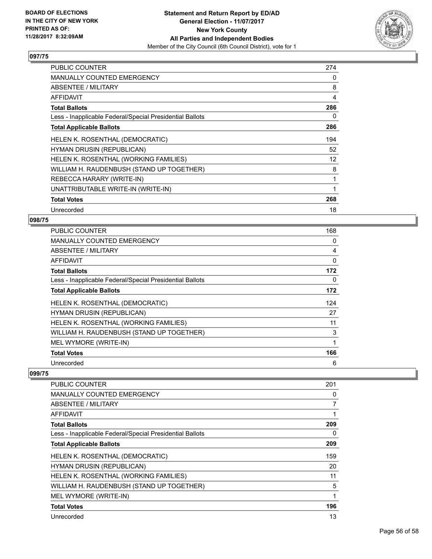

| <b>PUBLIC COUNTER</b>                                    | 274 |
|----------------------------------------------------------|-----|
| <b>MANUALLY COUNTED EMERGENCY</b>                        | 0   |
| ABSENTEE / MILITARY                                      | 8   |
| <b>AFFIDAVIT</b>                                         | 4   |
| <b>Total Ballots</b>                                     | 286 |
| Less - Inapplicable Federal/Special Presidential Ballots | 0   |
| <b>Total Applicable Ballots</b>                          | 286 |
| HELEN K. ROSENTHAL (DEMOCRATIC)                          | 194 |
| <b>HYMAN DRUSIN (REPUBLICAN)</b>                         | 52  |
| HELEN K. ROSENTHAL (WORKING FAMILIES)                    | 12  |
| WILLIAM H. RAUDENBUSH (STAND UP TOGETHER)                | 8   |
| REBECCA HARARY (WRITE-IN)                                | 1   |
| UNATTRIBUTABLE WRITE-IN (WRITE-IN)                       | 1   |
| <b>Total Votes</b>                                       | 268 |
| Unrecorded                                               | 18  |

## **098/75**

| <b>PUBLIC COUNTER</b>                                    | 168 |
|----------------------------------------------------------|-----|
| <b>MANUALLY COUNTED EMERGENCY</b>                        | 0   |
| ABSENTEE / MILITARY                                      | 4   |
| AFFIDAVIT                                                | 0   |
| <b>Total Ballots</b>                                     | 172 |
| Less - Inapplicable Federal/Special Presidential Ballots | 0   |
| <b>Total Applicable Ballots</b>                          | 172 |
| HELEN K. ROSENTHAL (DEMOCRATIC)                          | 124 |
| <b>HYMAN DRUSIN (REPUBLICAN)</b>                         | 27  |
| HELEN K. ROSENTHAL (WORKING FAMILIES)                    | 11  |
| WILLIAM H. RAUDENBUSH (STAND UP TOGETHER)                | 3   |
| MEL WYMORE (WRITE-IN)                                    | 1   |
| <b>Total Votes</b>                                       | 166 |
| Unrecorded                                               | 6   |

| <b>PUBLIC COUNTER</b>                                    | 201 |
|----------------------------------------------------------|-----|
| <b>MANUALLY COUNTED EMERGENCY</b>                        | 0   |
| ABSENTEE / MILITARY                                      | 7   |
| <b>AFFIDAVIT</b>                                         | 1   |
| <b>Total Ballots</b>                                     | 209 |
| Less - Inapplicable Federal/Special Presidential Ballots | 0   |
| <b>Total Applicable Ballots</b>                          | 209 |
| HELEN K. ROSENTHAL (DEMOCRATIC)                          | 159 |
| <b>HYMAN DRUSIN (REPUBLICAN)</b>                         | 20  |
| HELEN K. ROSENTHAL (WORKING FAMILIES)                    | 11  |
| WILLIAM H. RAUDENBUSH (STAND UP TOGETHER)                | 5   |
| MEL WYMORE (WRITE-IN)                                    | 1   |
| <b>Total Votes</b>                                       | 196 |
| Unrecorded                                               | 13  |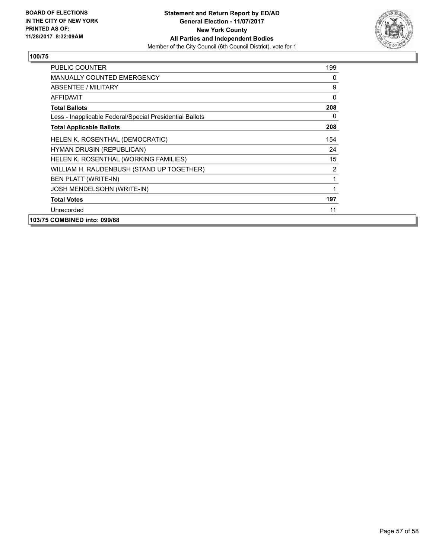

| <b>PUBLIC COUNTER</b>                                    | 199      |
|----------------------------------------------------------|----------|
| <b>MANUALLY COUNTED EMERGENCY</b>                        | 0        |
| ABSENTEE / MILITARY                                      | 9        |
| <b>AFFIDAVIT</b>                                         | $\Omega$ |
| <b>Total Ballots</b>                                     | 208      |
| Less - Inapplicable Federal/Special Presidential Ballots | 0        |
| <b>Total Applicable Ballots</b>                          | 208      |
| HELEN K. ROSENTHAL (DEMOCRATIC)                          | 154      |
| <b>HYMAN DRUSIN (REPUBLICAN)</b>                         | 24       |
| HELEN K. ROSENTHAL (WORKING FAMILIES)                    | 15       |
| WILLIAM H. RAUDENBUSH (STAND UP TOGETHER)                | 2        |
| <b>BEN PLATT (WRITE-IN)</b>                              | 1        |
| JOSH MENDELSOHN (WRITE-IN)                               | 1        |
| <b>Total Votes</b>                                       | 197      |
| Unrecorded                                               | 11       |
| 103/75 COMBINED into: 099/68                             |          |